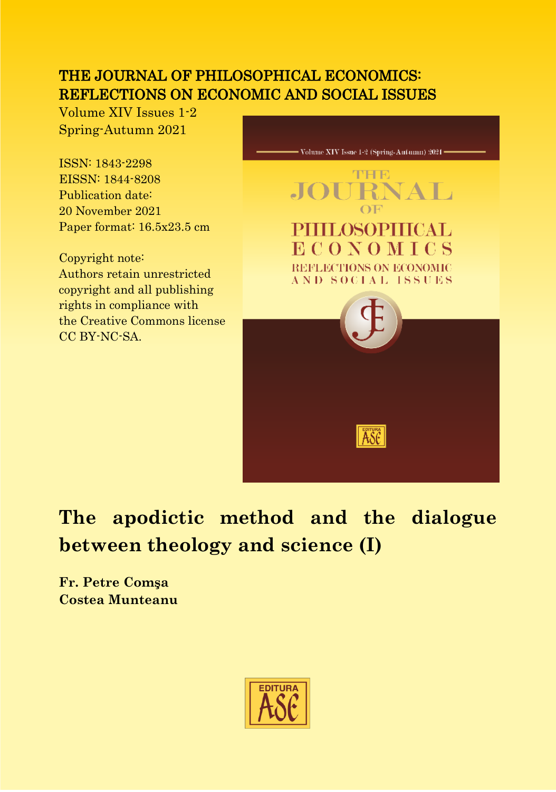### THE JOURNAL OF PHILOSOPHICAL ECONOMICS: REFLECTIONS ON ECONOMIC AND SOCIAL ISSUES

Volume XIV Issues 1-2 Spring-Autumn 2021

ISSN: 1843-2298 EISSN: 1844-8208 Publication date: 20 November 2021 Paper format:  $16.5x23.5$  cm

Copyright note: Authors retain unrestricted copyright and all publishing rights in compliance with the Creative Commons license CC BY-NC-SA.



# **The apodictic method and the dialogue between theology and science (I)**

**Fr. Petre Comşa Costea Munteanu**

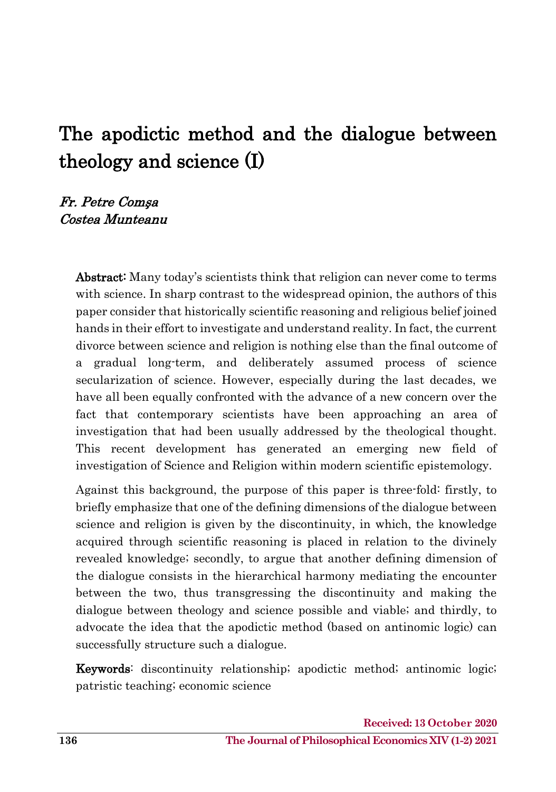# The apodictic method and the dialogue between theology and science (I)

#### Fr. Petre Comş<sup>a</sup> Costea Munteanu

Abstract: Many today's scientists think that religion can never come to terms with science. In sharp contrast to the widespread opinion, the authors of this paper consider that historically scientific reasoning and religious belief joined hands in their effort to investigate and understand reality. In fact, the current divorce between science and religion is nothing else than the final outcome of a gradual long-term, and deliberately assumed process of science secularization of science. However, especially during the last decades, we have all been equally confronted with the advance of a new concern over the fact that contemporary scientists have been approaching an area of investigation that had been usually addressed by the theological thought. This recent development has generated an emerging new field of investigation of Science and Religion within modern scientific epistemology.

Against this background, the purpose of this paper is three-fold: firstly, to briefly emphasize that one of the defining dimensions of the dialogue between science and religion is given by the discontinuity, in which, the knowledge acquired through scientific reasoning is placed in relation to the divinely revealed knowledge; secondly, to argue that another defining dimension of the dialogue consists in the hierarchical harmony mediating the encounter between the two, thus transgressing the discontinuity and making the dialogue between theology and science possible and viable; and thirdly, to advocate the idea that the apodictic method (based on antinomic logic) can successfully structure such a dialogue.

Keywords: discontinuity relationship; apodictic method; antinomic logic; patristic teaching; economic science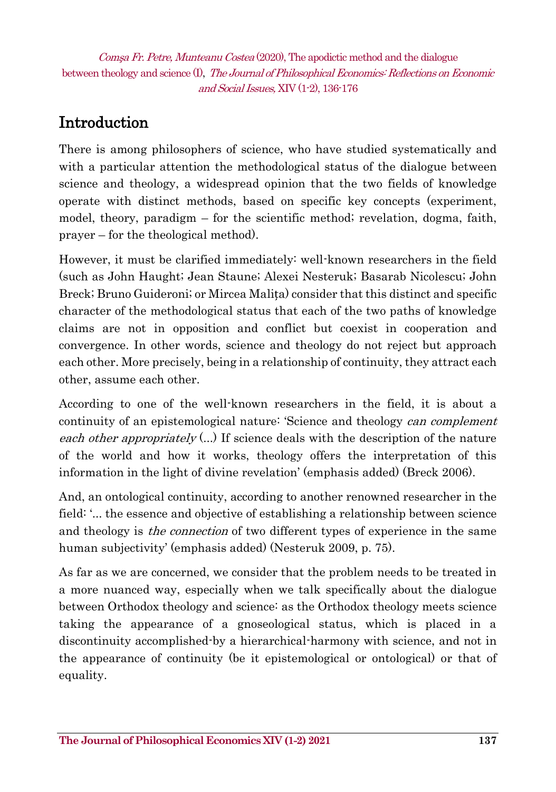## Introduction

There is among philosophers of science, who have studied systematically and with a particular attention the methodological status of the dialogue between science and theology, a widespread opinion that the two fields of knowledge operate with distinct methods, based on specific key concepts (experiment, model, theory, paradigm – for the scientific method; revelation, dogma, faith, prayer – for the theological method).

However, it must be clarified immediately: well-known researchers in the field (such as John Haught; Jean Staune; Alexei Nesteruk; Basarab Nicolescu; John Breck; Bruno Guideroni; or Mircea Malița) consider that this distinct and specific character of the methodological status that each of the two paths of knowledge claims are not in opposition and conflict but coexist in cooperation and convergence. In other words, science and theology do not reject but approach each other. More precisely, being in a relationship of continuity, they attract each other, assume each other.

According to one of the well-known researchers in the field, it is about a continuity of an epistemological nature: 'Science and theology can complement each other appropriately  $(...)$  If science deals with the description of the nature of the world and how it works, theology offers the interpretation of this information in the light of divine revelation' (emphasis added) (Breck 2006).

And, an ontological continuity, according to another renowned researcher in the field: '... the essence and objective of establishing a relationship between science and theology is *the connection* of two different types of experience in the same human subjectivity' (emphasis added) (Nesteruk 2009, p. 75).

As far as we are concerned, we consider that the problem needs to be treated in a more nuanced way, especially when we talk specifically about the dialogue between Orthodox theology and science: as the Orthodox theology meets science taking the appearance of a gnoseological status, which is placed in a discontinuity accomplished-by a hierarchical-harmony with science, and not in the appearance of continuity (be it epistemological or ontological) or that of equality.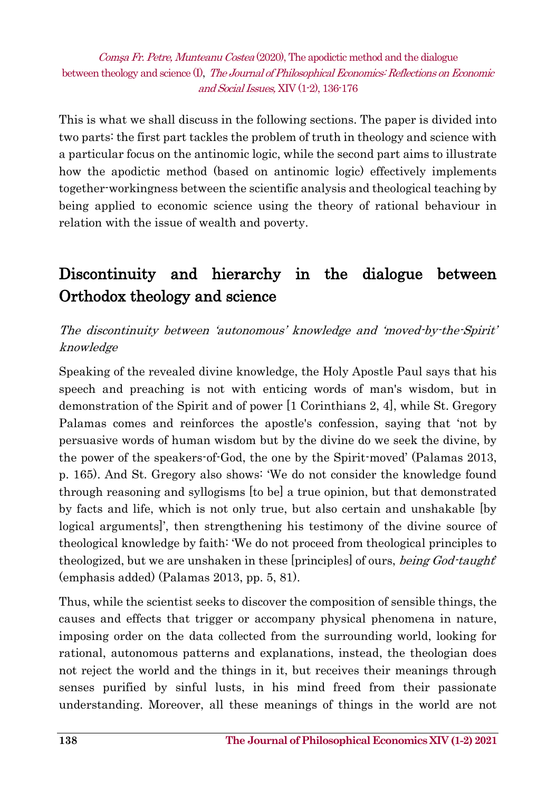This is what we shall discuss in the following sections. The paper is divided into two parts: the first part tackles the problem of truth in theology and science with a particular focus on the antinomic logic, while the second part aims to illustrate how the apodictic method (based on antinomic logic) effectively implements together-workingness between the scientific analysis and theological teaching by being applied to economic science using the theory of rational behaviour in relation with the issue of wealth and poverty.

# Discontinuity and hierarchy in the dialogue between Orthodox theology and science

The discontinuity between 'autonomous' knowledge and 'moved-by-the-Spirit' knowledge

Speaking of the revealed divine knowledge, the Holy Apostle Paul says that his speech and preaching is not with enticing words of man's wisdom, but in demonstration of the Spirit and of power [1 Corinthians 2, 4], while St. Gregory Palamas comes and reinforces the apostle's confession, saying that 'not by persuasive words of human wisdom but by the divine do we seek the divine, by the power of the speakers-of-God, the one by the Spirit-moved' (Palamas 2013, p. 165). And St. Gregory also shows: 'We do not consider the knowledge found through reasoning and syllogisms [to be] a true opinion, but that demonstrated by facts and life, which is not only true, but also certain and unshakable [by logical arguments]', then strengthening his testimony of the divine source of theological knowledge by faith: 'We do not proceed from theological principles to theologized, but we are unshaken in these [principles] of ours, *being God-taught*' (emphasis added) (Palamas 2013, pp. 5, 81).

Thus, while the scientist seeks to discover the composition of sensible things, the causes and effects that trigger or accompany physical phenomena in nature, imposing order on the data collected from the surrounding world, looking for rational, autonomous patterns and explanations, instead, the theologian does not reject the world and the things in it, but receives their meanings through senses purified by sinful lusts, in his mind freed from their passionate understanding. Moreover, all these meanings of things in the world are not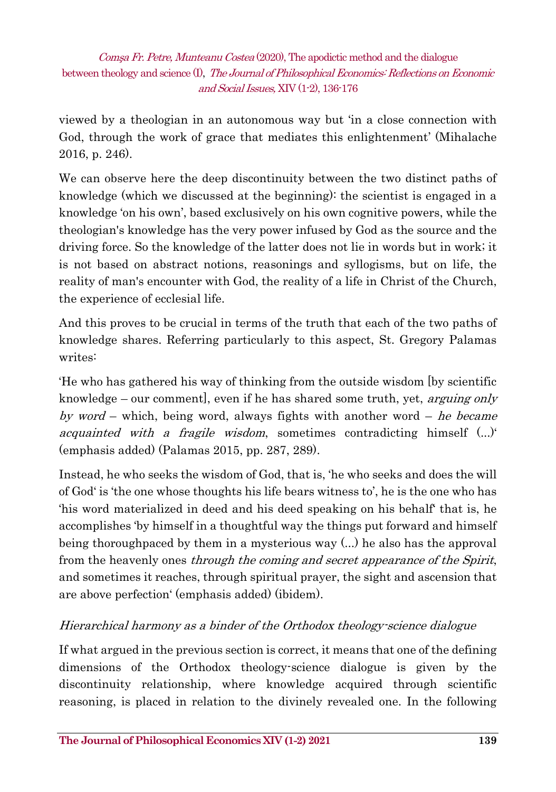viewed by a theologian in an autonomous way but 'in a close connection with God, through the work of grace that mediates this enlightenment' (Mihalache 2016, p. 246).

We can observe here the deep discontinuity between the two distinct paths of knowledge (which we discussed at the beginning): the scientist is engaged in a knowledge 'on his own', based exclusively on his own cognitive powers, while the theologian's knowledge has the very power infused by God as the source and the driving force. So the knowledge of the latter does not lie in words but in work; it is not based on abstract notions, reasonings and syllogisms, but on life, the reality of man's encounter with God, the reality of a life in Christ of the Church, the experience of ecclesial life.

And this proves to be crucial in terms of the truth that each of the two paths of knowledge shares. Referring particularly to this aspect, St. Gregory Palamas writes:

'He who has gathered his way of thinking from the outside wisdom [by scientific knowledge – our comment, even if he has shared some truth, yet, *arguing only* by word – which, being word, always fights with another word – he became *acquainted with a fragile wisdom*, sometimes contradicting himself  $(...)'$ (emphasis added) (Palamas 2015, pp. 287, 289).

Instead, he who seeks the wisdom of God, that is, 'he who seeks and does the will of God' is 'the one whose thoughts his life bears witness to', he is the one who has 'his word materialized in deed and his deed speaking on his behalf' that is, he accomplishes 'by himself in a thoughtful way the things put forward and himself being thoroughpaced by them in a mysterious way (...) he also has the approval from the heavenly ones *through the coming and secret appearance of the Spirit*, and sometimes it reaches, through spiritual prayer, the sight and ascension that are above perfection' (emphasis added) (ibidem).

#### Hierarchical harmony as a binder of the Orthodox theology-science dialogue

If what argued in the previous section is correct, it means that one of the defining dimensions of the Orthodox theology-science dialogue is given by the discontinuity relationship, where knowledge acquired through scientific reasoning, is placed in relation to the divinely revealed one. In the following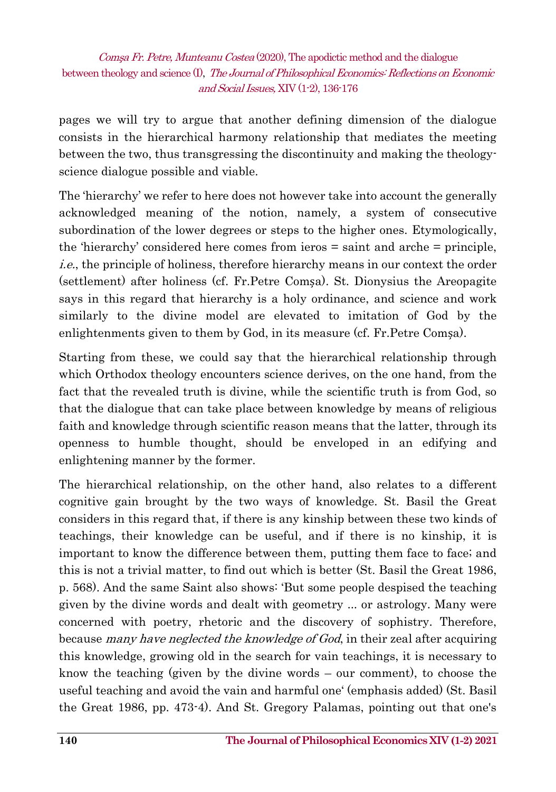pages we will try to argue that another defining dimension of the dialogue consists in the hierarchical harmony relationship that mediates the meeting between the two, thus transgressing the discontinuity and making the theologyscience dialogue possible and viable.

The 'hierarchy' we refer to here does not however take into account the generally acknowledged meaning of the notion, namely, a system of consecutive subordination of the lower degrees or steps to the higher ones. Etymologically, the 'hierarchy' considered here comes from ieros = saint and arche = principle, i.e., the principle of holiness, therefore hierarchy means in our context the order (settlement) after holiness (cf. Fr.Petre Comșa). St. Dionysius the Areopagite says in this regard that hierarchy is a holy ordinance, and science and work similarly to the divine model are elevated to imitation of God by the enlightenments given to them by God, in its measure (cf. Fr.Petre Comșa).

Starting from these, we could say that the hierarchical relationship through which Orthodox theology encounters science derives, on the one hand, from the fact that the revealed truth is divine, while the scientific truth is from God, so that the dialogue that can take place between knowledge by means of religious faith and knowledge through scientific reason means that the latter, through its openness to humble thought, should be enveloped in an edifying and enlightening manner by the former.

The hierarchical relationship, on the other hand, also relates to a different cognitive gain brought by the two ways of knowledge. St. Basil the Great considers in this regard that, if there is any kinship between these two kinds of teachings, their knowledge can be useful, and if there is no kinship, it is important to know the difference between them, putting them face to face; and this is not a trivial matter, to find out which is better (St. Basil the Great 1986, p. 568). And the same Saint also shows: 'But some people despised the teaching given by the divine words and dealt with geometry ... or astrology. Many were concerned with poetry, rhetoric and the discovery of sophistry. Therefore, because *many have neglected the knowledge of God*, in their zeal after acquiring this knowledge, growing old in the search for vain teachings, it is necessary to know the teaching (given by the divine words – our comment), to choose the useful teaching and avoid the vain and harmful one' (emphasis added) (St. Basil the Great 1986, pp. 473-4). And St. Gregory Palamas, pointing out that one's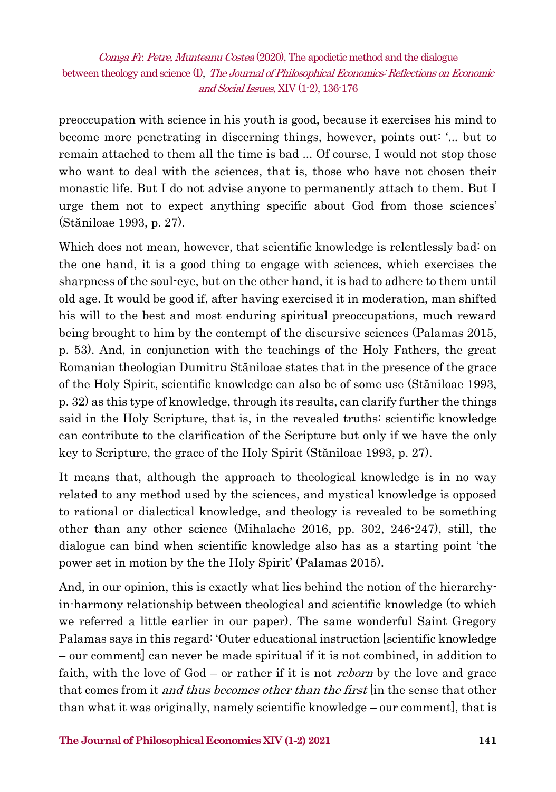preoccupation with science in his youth is good, because it exercises his mind to become more penetrating in discerning things, however, points out: '... but to remain attached to them all the time is bad ... Of course, I would not stop those who want to deal with the sciences, that is, those who have not chosen their monastic life. But I do not advise anyone to permanently attach to them. But I urge them not to expect anything specific about God from those sciences' (Stăniloae 1993, p. 27).

Which does not mean, however, that scientific knowledge is relentlessly bad: on the one hand, it is a good thing to engage with sciences, which exercises the sharpness of the soul-eye, but on the other hand, it is bad to adhere to them until old age. It would be good if, after having exercised it in moderation, man shifted his will to the best and most enduring spiritual preoccupations, much reward being brought to him by the contempt of the discursive sciences (Palamas 2015, p. 53). And, in conjunction with the teachings of the Holy Fathers, the great Romanian theologian Dumitru Stăniloae states that in the presence of the grace of the Holy Spirit, scientific knowledge can also be of some use (Stăniloae 1993, p. 32) as this type of knowledge, through its results, can clarify further the things said in the Holy Scripture, that is, in the revealed truths: scientific knowledge can contribute to the clarification of the Scripture but only if we have the only key to Scripture, the grace of the Holy Spirit (Stăniloae 1993, p. 27).

It means that, although the approach to theological knowledge is in no way related to any method used by the sciences, and mystical knowledge is opposed to rational or dialectical knowledge, and theology is revealed to be something other than any other science (Mihalache 2016, pp. 302, 246-247), still, the dialogue can bind when scientific knowledge also has as a starting point 'the power set in motion by the the Holy Spirit' (Palamas 2015).

And, in our opinion, this is exactly what lies behind the notion of the hierarchyin-harmony relationship between theological and scientific knowledge (to which we referred a little earlier in our paper). The same wonderful Saint Gregory Palamas says in this regard: 'Outer educational instruction [scientific knowledge – our comment] can never be made spiritual if it is not combined, in addition to faith, with the love of God – or rather if it is not *reborn* by the love and grace that comes from it *and thus becomes other than the first* [in the sense that other than what it was originally, namely scientific knowledge – our comment], that is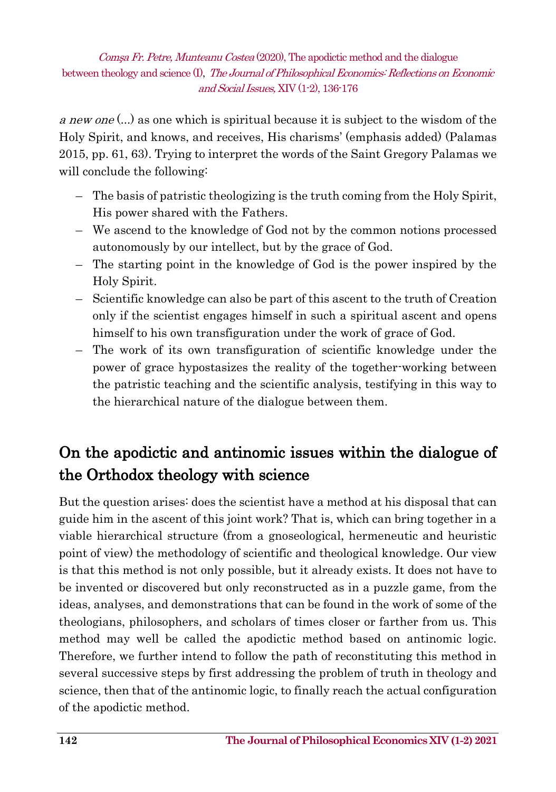a new one (...) as one which is spiritual because it is subject to the wisdom of the Holy Spirit, and knows, and receives, His charisms' (emphasis added) (Palamas 2015, pp. 61, 63). Trying to interpret the words of the Saint Gregory Palamas we will conclude the following:

- The basis of patristic theologizing is the truth coming from the Holy Spirit, His power shared with the Fathers.
- We ascend to the knowledge of God not by the common notions processed autonomously by our intellect, but by the grace of God.
- The starting point in the knowledge of God is the power inspired by the Holy Spirit.
- Scientific knowledge can also be part of this ascent to the truth of Creation only if the scientist engages himself in such a spiritual ascent and opens himself to his own transfiguration under the work of grace of God.
- The work of its own transfiguration of scientific knowledge under the power of grace hypostasizes the reality of the together-working between the patristic teaching and the scientific analysis, testifying in this way to the hierarchical nature of the dialogue between them.

# On the apodictic and antinomic issues within the dialogue of the Orthodox theology with science

But the question arises: does the scientist have a method at his disposal that can guide him in the ascent of this joint work? That is, which can bring together in a viable hierarchical structure (from a gnoseological, hermeneutic and heuristic point of view) the methodology of scientific and theological knowledge. Our view is that this method is not only possible, but it already exists. It does not have to be invented or discovered but only reconstructed as in a puzzle game, from the ideas, analyses, and demonstrations that can be found in the work of some of the theologians, philosophers, and scholars of times closer or farther from us. This method may well be called the apodictic method based on antinomic logic. Therefore, we further intend to follow the path of reconstituting this method in several successive steps by first addressing the problem of truth in theology and science, then that of the antinomic logic, to finally reach the actual configuration of the apodictic method.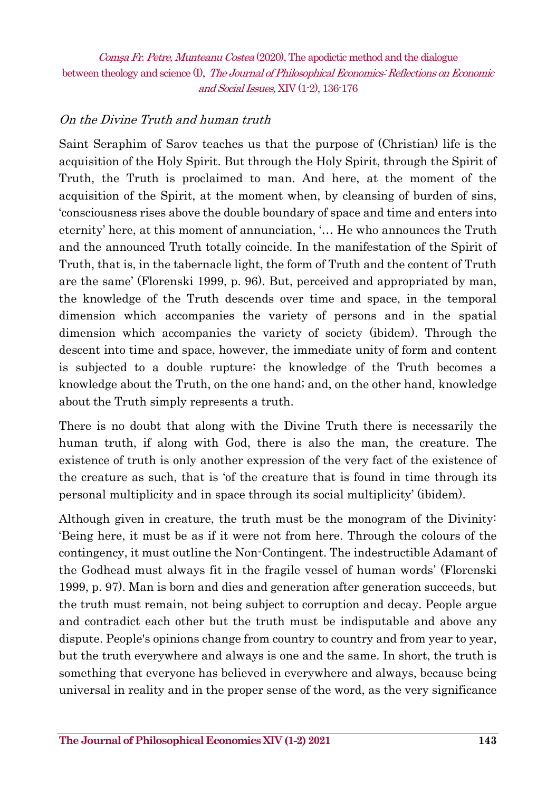#### On the Divine Truth and human truth

Saint Seraphim of Sarov teaches us that the purpose of (Christian) life is the acquisition of the Holy Spirit. But through the Holy Spirit, through the Spirit of Truth, the Truth is proclaimed to man. And here, at the moment of the acquisition of the Spirit, at the moment when, by cleansing of burden of sins, 'consciousness rises above the double boundary of space and time and enters into eternity' here, at this moment of annunciation, '… He who announces the Truth and the announced Truth totally coincide. In the manifestation of the Spirit of Truth, that is, in the tabernacle light, the form of Truth and the content of Truth are the same' (Florenski 1999, p. 96). But, perceived and appropriated by man, the knowledge of the Truth descends over time and space, in the temporal dimension which accompanies the variety of persons and in the spatial dimension which accompanies the variety of society (ibidem). Through the descent into time and space, however, the immediate unity of form and content is subjected to a double rupture: the knowledge of the Truth becomes a knowledge about the Truth, on the one hand; and, on the other hand, knowledge about the Truth simply represents a truth.

There is no doubt that along with the Divine Truth there is necessarily the human truth, if along with God, there is also the man, the creature. The existence of truth is only another expression of the very fact of the existence of the creature as such, that is 'of the creature that is found in time through its personal multiplicity and in space through its social multiplicity' (ibidem).

Although given in creature, the truth must be the monogram of the Divinity: 'Being here, it must be as if it were not from here. Through the colours of the contingency, it must outline the Non-Contingent. The indestructible Adamant of the Godhead must always fit in the fragile vessel of human words' (Florenski 1999, p. 97). Man is born and dies and generation after generation succeeds, but the truth must remain, not being subject to corruption and decay. People argue and contradict each other but the truth must be indisputable and above any dispute. People's opinions change from country to country and from year to year, but the truth everywhere and always is one and the same. In short, the truth is something that everyone has believed in everywhere and always, because being universal in reality and in the proper sense of the word, as the very significance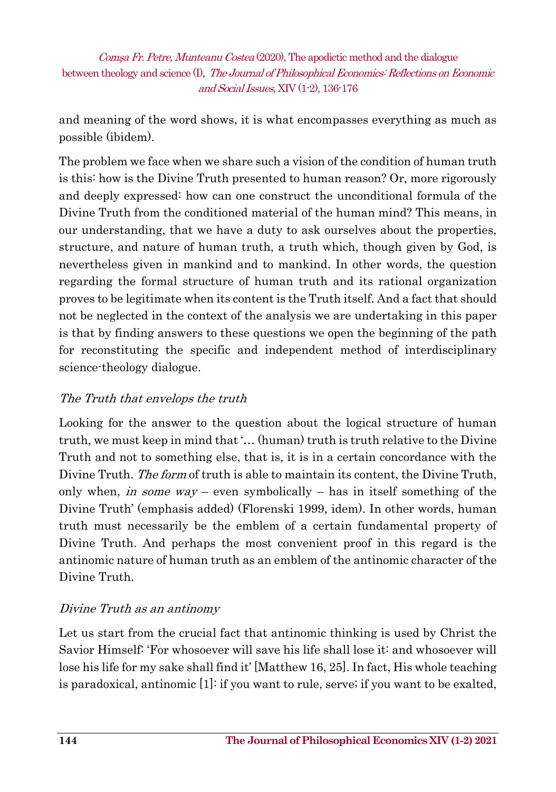and meaning of the word shows, it is what encompasses everything as much as possible (ibidem).

The problem we face when we share such a vision of the condition of human truth is this: how is the Divine Truth presented to human reason? Or, more rigorously and deeply expressed: how can one construct the unconditional formula of the Divine Truth from the conditioned material of the human mind? This means, in our understanding, that we have a duty to ask ourselves about the properties, structure, and nature of human truth, a truth which, though given by God, is nevertheless given in mankind and to mankind. In other words, the question regarding the formal structure of human truth and its rational organization proves to be legitimate when its content is the Truth itself. And a fact that should not be neglected in the context of the analysis we are undertaking in this paper is that by finding answers to these questions we open the beginning of the path for reconstituting the specific and independent method of interdisciplinary science-theology dialogue.

#### The Truth that envelops the truth

Looking for the answer to the question about the logical structure of human truth, we must keep in mind that '… (human) truth is truth relative to the Divine Truth and not to something else, that is, it is in a certain concordance with the Divine Truth. The form of truth is able to maintain its content, the Divine Truth, only when, in some way – even symbolically – has in itself something of the Divine Truth' (emphasis added) (Florenski 1999, idem). In other words, human truth must necessarily be the emblem of a certain fundamental property of Divine Truth. And perhaps the most convenient proof in this regard is the antinomic nature of human truth as an emblem of the antinomic character of the Divine Truth.

#### Divine Truth as an antinomy

Let us start from the crucial fact that antinomic thinking is used by Christ the Savior Himself: 'For whosoever will save his life shall lose it: and whosoever will lose his life for my sake shall find it' [Matthew 16, 25]. In fact, His whole teaching is paradoxical, antinomic [1]: if you want to rule, serve; if you want to be exalted,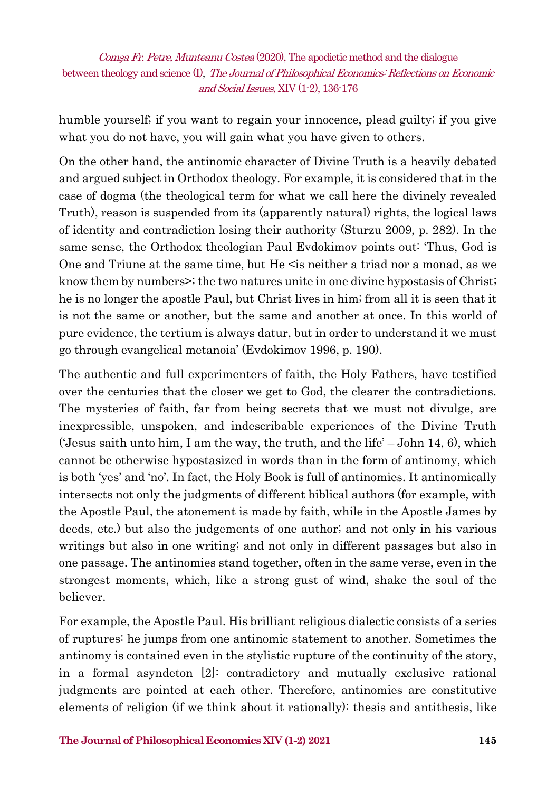humble yourself; if you want to regain your innocence, plead guilty; if you give what you do not have, you will gain what you have given to others.

On the other hand, the antinomic character of Divine Truth is a heavily debated and argued subject in Orthodox theology. For example, it is considered that in the case of dogma (the theological term for what we call here the divinely revealed Truth), reason is suspended from its (apparently natural) rights, the logical laws of identity and contradiction losing their authority (Sturzu 2009, p. 282). In the same sense, the Orthodox theologian Paul Evdokimov points out: 'Thus, God is One and Triune at the same time, but He <is neither a triad nor a monad, as we know them by numbers>; the two natures unite in one divine hypostasis of Christ; he is no longer the apostle Paul, but Christ lives in him; from all it is seen that it is not the same or another, but the same and another at once. In this world of pure evidence, the tertium is always datur, but in order to understand it we must go through evangelical metanoia' (Evdokimov 1996, p. 190).

The authentic and full experimenters of faith, the Holy Fathers, have testified over the centuries that the closer we get to God, the clearer the contradictions. The mysteries of faith, far from being secrets that we must not divulge, are inexpressible, unspoken, and indescribable experiences of the Divine Truth ('Jesus saith unto him, I am the way, the truth, and the life' – John 14, 6), which cannot be otherwise hypostasized in words than in the form of antinomy, which is both 'yes' and 'no'. In fact, the Holy Book is full of antinomies. It antinomically intersects not only the judgments of different biblical authors (for example, with the Apostle Paul, the atonement is made by faith, while in the Apostle James by deeds, etc.) but also the judgements of one author; and not only in his various writings but also in one writing; and not only in different passages but also in one passage. The antinomies stand together, often in the same verse, even in the strongest moments, which, like a strong gust of wind, shake the soul of the believer.

For example, the Apostle Paul. His brilliant religious dialectic consists of a series of ruptures: he jumps from one antinomic statement to another. Sometimes the antinomy is contained even in the stylistic rupture of the continuity of the story, in a formal asyndeton [2]: contradictory and mutually exclusive rational judgments are pointed at each other. Therefore, antinomies are constitutive elements of religion (if we think about it rationally): thesis and antithesis, like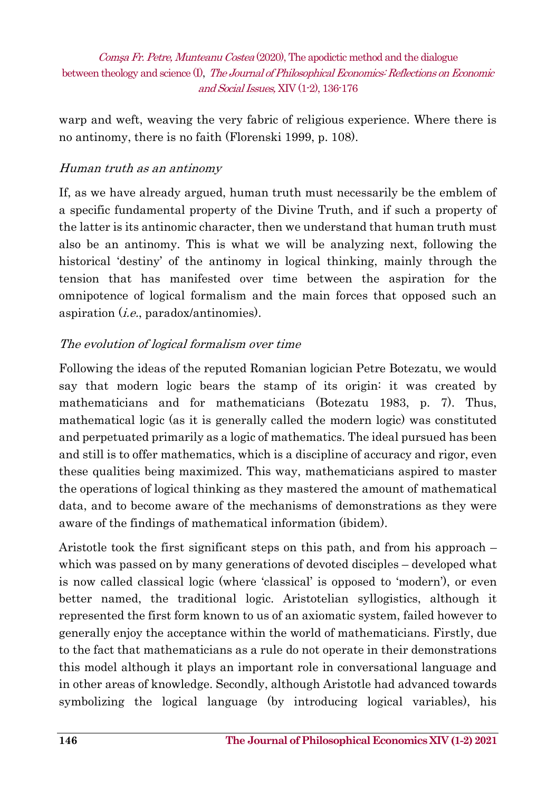warp and weft, weaving the very fabric of religious experience. Where there is no antinomy, there is no faith (Florenski 1999, p. 108).

#### Human truth as an antinomy

If, as we have already argued, human truth must necessarily be the emblem of a specific fundamental property of the Divine Truth, and if such a property of the latter is its antinomic character, then we understand that human truth must also be an antinomy. This is what we will be analyzing next, following the historical 'destiny' of the antinomy in logical thinking, mainly through the tension that has manifested over time between the aspiration for the omnipotence of logical formalism and the main forces that opposed such an aspiration (i.e., paradox/antinomies).

#### The evolution of logical formalism over time

Following the ideas of the reputed Romanian logician Petre Botezatu, we would say that modern logic bears the stamp of its origin: it was created by mathematicians and for mathematicians (Botezatu 1983, p. 7). Thus, mathematical logic (as it is generally called the modern logic) was constituted and perpetuated primarily as a logic of mathematics. The ideal pursued has been and still is to offer mathematics, which is a discipline of accuracy and rigor, even these qualities being maximized. This way, mathematicians aspired to master the operations of logical thinking as they mastered the amount of mathematical data, and to become aware of the mechanisms of demonstrations as they were aware of the findings of mathematical information (ibidem).

Aristotle took the first significant steps on this path, and from his approach – which was passed on by many generations of devoted disciples – developed what is now called classical logic (where 'classical' is opposed to 'modern'), or even better named, the traditional logic. Aristotelian syllogistics, although it represented the first form known to us of an axiomatic system, failed however to generally enjoy the acceptance within the world of mathematicians. Firstly, due to the fact that mathematicians as a rule do not operate in their demonstrations this model although it plays an important role in conversational language and in other areas of knowledge. Secondly, although Aristotle had advanced towards symbolizing the logical language (by introducing logical variables), his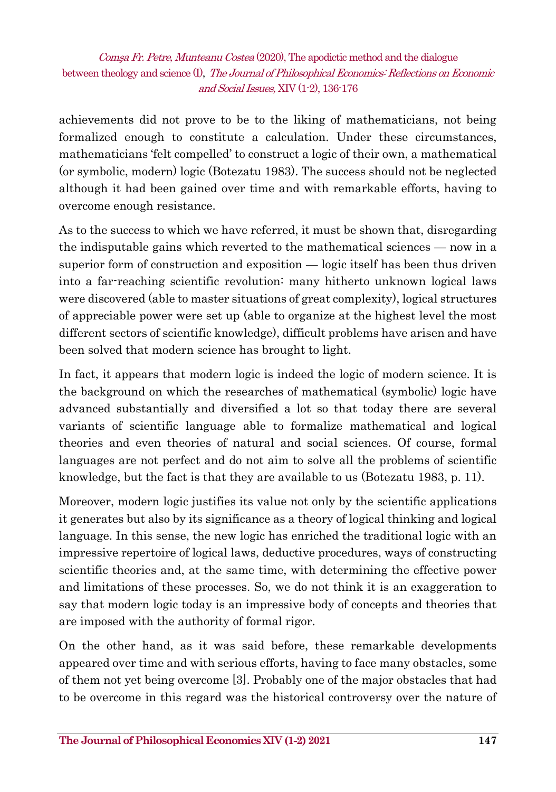achievements did not prove to be to the liking of mathematicians, not being formalized enough to constitute a calculation. Under these circumstances, mathematicians 'felt compelled' to construct a logic of their own, a mathematical (or symbolic, modern) logic (Botezatu 1983). The success should not be neglected although it had been gained over time and with remarkable efforts, having to overcome enough resistance.

As to the success to which we have referred, it must be shown that, disregarding the indisputable gains which reverted to the mathematical sciences — now in a superior form of construction and exposition — logic itself has been thus driven into a far-reaching scientific revolution: many hitherto unknown logical laws were discovered (able to master situations of great complexity), logical structures of appreciable power were set up (able to organize at the highest level the most different sectors of scientific knowledge), difficult problems have arisen and have been solved that modern science has brought to light.

In fact, it appears that modern logic is indeed the logic of modern science. It is the background on which the researches of mathematical (symbolic) logic have advanced substantially and diversified a lot so that today there are several variants of scientific language able to formalize mathematical and logical theories and even theories of natural and social sciences. Of course, formal languages are not perfect and do not aim to solve all the problems of scientific knowledge, but the fact is that they are available to us (Botezatu 1983, p. 11).

Moreover, modern logic justifies its value not only by the scientific applications it generates but also by its significance as a theory of logical thinking and logical language. In this sense, the new logic has enriched the traditional logic with an impressive repertoire of logical laws, deductive procedures, ways of constructing scientific theories and, at the same time, with determining the effective power and limitations of these processes. So, we do not think it is an exaggeration to say that modern logic today is an impressive body of concepts and theories that are imposed with the authority of formal rigor.

On the other hand, as it was said before, these remarkable developments appeared over time and with serious efforts, having to face many obstacles, some of them not yet being overcome [3]. Probably one of the major obstacles that had to be overcome in this regard was the historical controversy over the nature of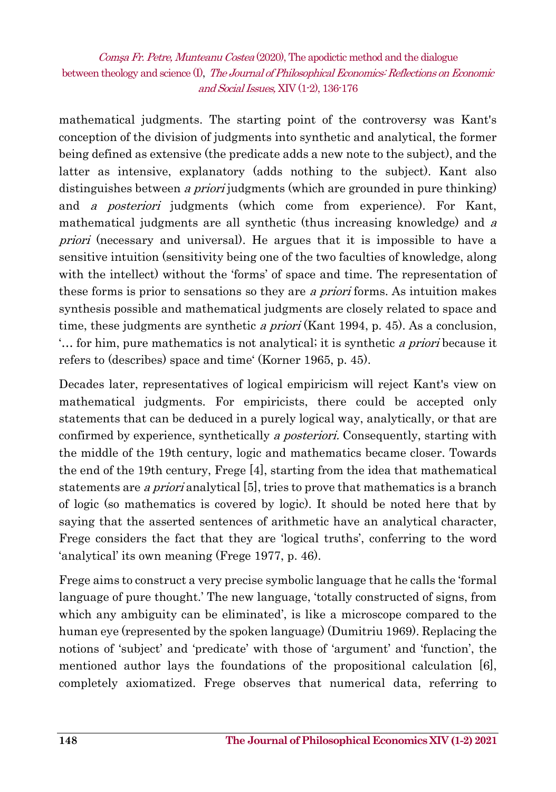mathematical judgments. The starting point of the controversy was Kant's conception of the division of judgments into synthetic and analytical, the former being defined as extensive (the predicate adds a new note to the subject), and the latter as intensive, explanatory (adds nothing to the subject). Kant also distinguishes between *a priori* judgments (which are grounded in pure thinking) and a posteriori judgments (which come from experience). For Kant, mathematical judgments are all synthetic (thus increasing knowledge) and a priori (necessary and universal). He argues that it is impossible to have a sensitive intuition (sensitivity being one of the two faculties of knowledge, along with the intellect) without the 'forms' of space and time. The representation of these forms is prior to sensations so they are a priori forms. As intuition makes synthesis possible and mathematical judgments are closely related to space and time, these judgments are synthetic *a priori* (Kant 1994, p. 45). As a conclusion, '… for him, pure mathematics is not analytical; it is synthetic a priori because it refers to (describes) space and time' (Korner 1965, p. 45).

Decades later, representatives of logical empiricism will reject Kant's view on mathematical judgments. For empiricists, there could be accepted only statements that can be deduced in a purely logical way, analytically, or that are confirmed by experience, synthetically a posteriori. Consequently, starting with the middle of the 19th century, logic and mathematics became closer. Towards the end of the 19th century, Frege [4], starting from the idea that mathematical statements are a priori analytical [5], tries to prove that mathematics is a branch of logic (so mathematics is covered by logic). It should be noted here that by saying that the asserted sentences of arithmetic have an analytical character, Frege considers the fact that they are 'logical truths', conferring to the word 'analytical' its own meaning (Frege 1977, p. 46).

Frege aims to construct a very precise symbolic language that he calls the 'formal language of pure thought.' The new language, 'totally constructed of signs, from which any ambiguity can be eliminated', is like a microscope compared to the human eye (represented by the spoken language) (Dumitriu 1969). Replacing the notions of 'subject' and 'predicate' with those of 'argument' and 'function', the mentioned author lays the foundations of the propositional calculation [6], completely axiomatized. Frege observes that numerical data, referring to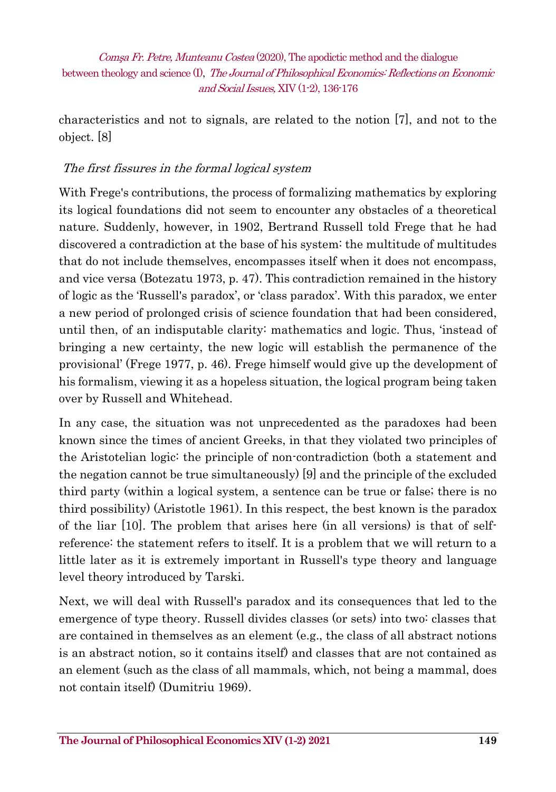characteristics and not to signals, are related to the notion [7], and not to the object. [8]

#### The first fissures in the formal logical system

With Frege's contributions, the process of formalizing mathematics by exploring its logical foundations did not seem to encounter any obstacles of a theoretical nature. Suddenly, however, in 1902, Bertrand Russell told Frege that he had discovered a contradiction at the base of his system: the multitude of multitudes that do not include themselves, encompasses itself when it does not encompass, and vice versa (Botezatu 1973, p. 47). This contradiction remained in the history of logic as the 'Russell's paradox', or 'class paradox'. With this paradox, we enter a new period of prolonged crisis of science foundation that had been considered, until then, of an indisputable clarity: mathematics and logic. Thus, 'instead of bringing a new certainty, the new logic will establish the permanence of the provisional' (Frege 1977, p. 46). Frege himself would give up the development of his formalism, viewing it as a hopeless situation, the logical program being taken over by Russell and Whitehead.

In any case, the situation was not unprecedented as the paradoxes had been known since the times of ancient Greeks, in that they violated two principles of the Aristotelian logic: the principle of non-contradiction (both a statement and the negation cannot be true simultaneously) [9] and the principle of the excluded third party (within a logical system, a sentence can be true or false; there is no third possibility) (Aristotle 1961). In this respect, the best known is the paradox of the liar [10]. The problem that arises here (in all versions) is that of selfreference: the statement refers to itself. It is a problem that we will return to a little later as it is extremely important in Russell's type theory and language level theory introduced by Tarski.

Next, we will deal with Russell's paradox and its consequences that led to the emergence of type theory. Russell divides classes (or sets) into two: classes that are contained in themselves as an element (e.g., the class of all abstract notions is an abstract notion, so it contains itself) and classes that are not contained as an element (such as the class of all mammals, which, not being a mammal, does not contain itself) (Dumitriu 1969).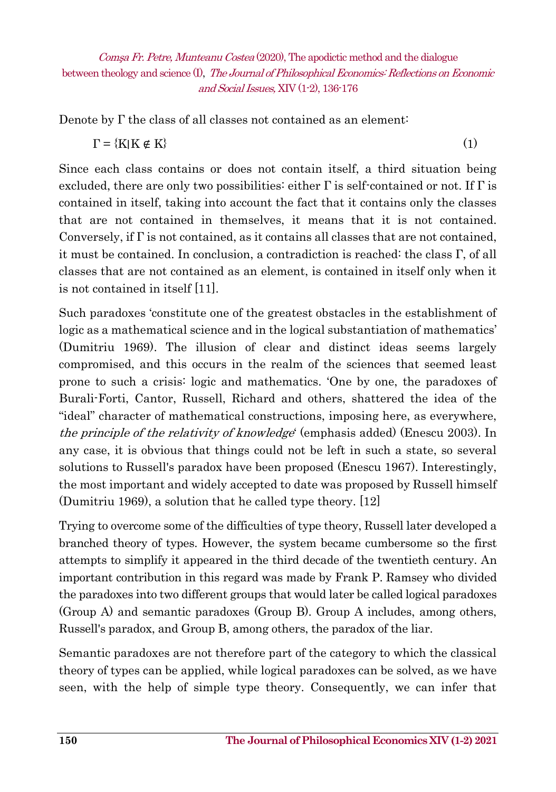Denote by Γ the class of all classes not contained as an element:

$$
\Gamma = \{K | K \notin K\} \tag{1}
$$

Since each class contains or does not contain itself, a third situation being excluded, there are only two possibilities: either  $\Gamma$  is self-contained or not. If  $\Gamma$  is contained in itself, taking into account the fact that it contains only the classes that are not contained in themselves, it means that it is not contained. Conversely, if  $\Gamma$  is not contained, as it contains all classes that are not contained, it must be contained. In conclusion, a contradiction is reached: the class  $\Gamma$ , of all classes that are not contained as an element, is contained in itself only when it is not contained in itself [11].

Such paradoxes 'constitute one of the greatest obstacles in the establishment of logic as a mathematical science and in the logical substantiation of mathematics' (Dumitriu 1969). The illusion of clear and distinct ideas seems largely compromised, and this occurs in the realm of the sciences that seemed least prone to such a crisis: logic and mathematics. 'One by one, the paradoxes of Burali-Forti, Cantor, Russell, Richard and others, shattered the idea of the "ideal" character of mathematical constructions, imposing here, as everywhere, the principle of the relativity of knowledge' (emphasis added) (Enescu 2003). In any case, it is obvious that things could not be left in such a state, so several solutions to Russell's paradox have been proposed (Enescu 1967). Interestingly, the most important and widely accepted to date was proposed by Russell himself (Dumitriu 1969), a solution that he called type theory. [12]

Trying to overcome some of the difficulties of type theory, Russell later developed a branched theory of types. However, the system became cumbersome so the first attempts to simplify it appeared in the third decade of the twentieth century. An important contribution in this regard was made by Frank P. Ramsey who divided the paradoxes into two different groups that would later be called logical paradoxes (Group A) and semantic paradoxes (Group B). Group A includes, among others, Russell's paradox, and Group B, among others, the paradox of the liar.

Semantic paradoxes are not therefore part of the category to which the classical theory of types can be applied, while logical paradoxes can be solved, as we have seen, with the help of simple type theory. Consequently, we can infer that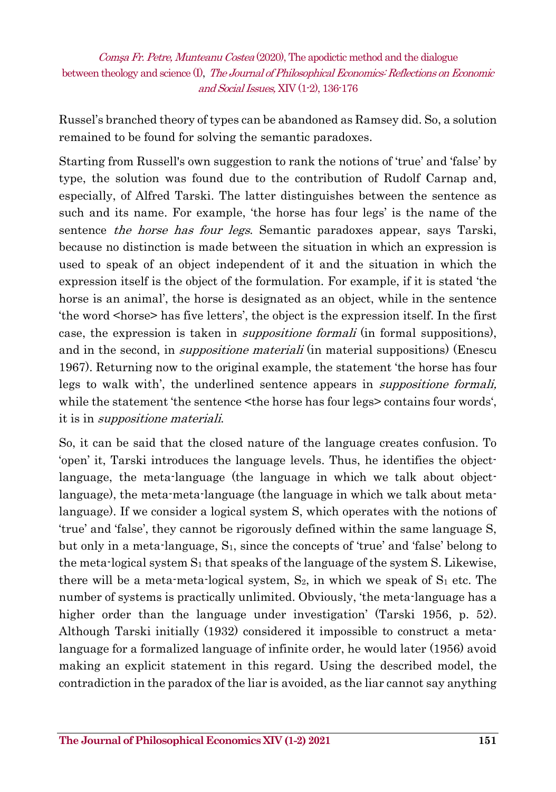Russel's branched theory of types can be abandoned as Ramsey did. So, a solution remained to be found for solving the semantic paradoxes.

Starting from Russell's own suggestion to rank the notions of 'true' and 'false' by type, the solution was found due to the contribution of Rudolf Carnap and, especially, of Alfred Tarski. The latter distinguishes between the sentence as such and its name. For example, 'the horse has four legs' is the name of the sentence *the horse has four legs*. Semantic paradoxes appear, says Tarski, because no distinction is made between the situation in which an expression is used to speak of an object independent of it and the situation in which the expression itself is the object of the formulation. For example, if it is stated 'the horse is an animal', the horse is designated as an object, while in the sentence the word <horse> has five letters', the object is the expression itself. In the first case, the expression is taken in suppositione formali (in formal suppositions), and in the second, in *suppositione materiali* (in material suppositions) (Enescu 1967). Returning now to the original example, the statement 'the horse has four legs to walk with', the underlined sentence appears in *suppositione formali*, while the statement 'the sentence <the horse has four legs> contains four words', it is in suppositione materiali.

So, it can be said that the closed nature of the language creates confusion. To 'open' it, Tarski introduces the language levels. Thus, he identifies the objectlanguage, the meta-language (the language in which we talk about objectlanguage), the meta-meta-language (the language in which we talk about metalanguage). If we consider a logical system S, which operates with the notions of 'true' and 'false', they cannot be rigorously defined within the same language S, but only in a meta-language, S1, since the concepts of 'true' and 'false' belong to the meta-logical system  $S_1$  that speaks of the language of the system S. Likewise, there will be a meta-meta-logical system,  $S_2$ , in which we speak of  $S_1$  etc. The number of systems is practically unlimited. Obviously, 'the meta-language has a higher order than the language under investigation' (Tarski 1956, p. 52). Although Tarski initially (1932) considered it impossible to construct a metalanguage for a formalized language of infinite order, he would later (1956) avoid making an explicit statement in this regard. Using the described model, the contradiction in the paradox of the liar is avoided, as the liar cannot say anything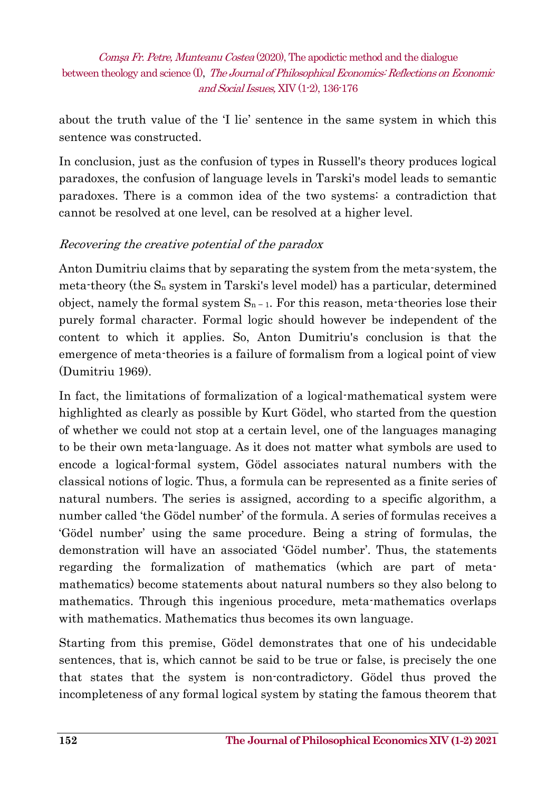about the truth value of the 'I lie' sentence in the same system in which this sentence was constructed.

In conclusion, just as the confusion of types in Russell's theory produces logical paradoxes, the confusion of language levels in Tarski's model leads to semantic paradoxes. There is a common idea of the two systems: a contradiction that cannot be resolved at one level, can be resolved at a higher level.

#### Recovering the creative potential of the paradox

Anton Dumitriu claims that by separating the system from the meta-system, the meta-theory (the  $S_n$  system in Tarski's level model) has a particular, determined object, namely the formal system  $S_{n-1}$ . For this reason, meta-theories lose their purely formal character. Formal logic should however be independent of the content to which it applies. So, Anton Dumitriu's conclusion is that the emergence of meta-theories is a failure of formalism from a logical point of view (Dumitriu 1969).

In fact, the limitations of formalization of a logical-mathematical system were highlighted as clearly as possible by Kurt Gödel, who started from the question of whether we could not stop at a certain level, one of the languages managing to be their own meta-language. As it does not matter what symbols are used to encode a logical-formal system, Gödel associates natural numbers with the classical notions of logic. Thus, a formula can be represented as a finite series of natural numbers. The series is assigned, according to a specific algorithm, a number called 'the Gödel number' of the formula. A series of formulas receives a 'Gödel number' using the same procedure. Being a string of formulas, the demonstration will have an associated 'Gödel number'. Thus, the statements regarding the formalization of mathematics (which are part of metamathematics) become statements about natural numbers so they also belong to mathematics. Through this ingenious procedure, meta-mathematics overlaps with mathematics. Mathematics thus becomes its own language.

Starting from this premise, Gödel demonstrates that one of his undecidable sentences, that is, which cannot be said to be true or false, is precisely the one that states that the system is non-contradictory. Gödel thus proved the incompleteness of any formal logical system by stating the famous theorem that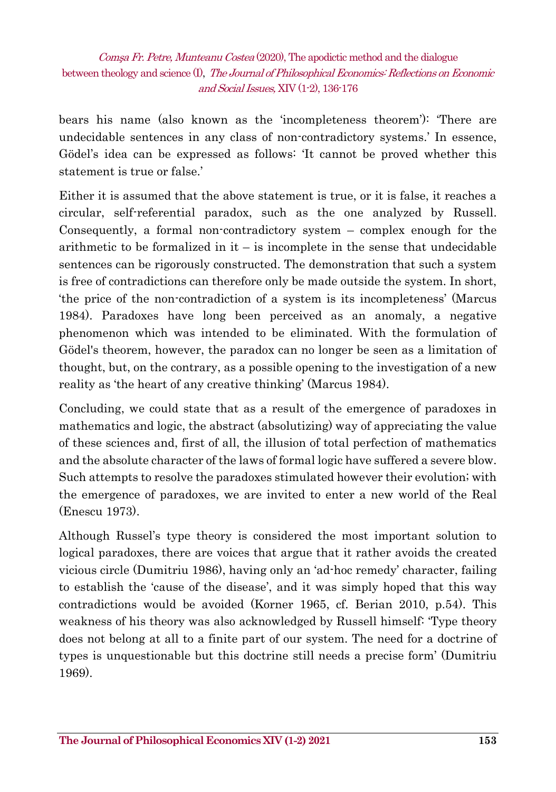bears his name (also known as the 'incompleteness theorem'): 'There are undecidable sentences in any class of non-contradictory systems.' In essence, Gödel's idea can be expressed as follows: 'It cannot be proved whether this statement is true or false.'

Either it is assumed that the above statement is true, or it is false, it reaches a circular, self-referential paradox, such as the one analyzed by Russell. Consequently, a formal non-contradictory system – complex enough for the arithmetic to be formalized in it – is incomplete in the sense that undecidable sentences can be rigorously constructed. The demonstration that such a system is free of contradictions can therefore only be made outside the system. In short, 'the price of the non-contradiction of a system is its incompleteness' (Marcus 1984). Paradoxes have long been perceived as an anomaly, a negative phenomenon which was intended to be eliminated. With the formulation of Gödel's theorem, however, the paradox can no longer be seen as a limitation of thought, but, on the contrary, as a possible opening to the investigation of a new reality as 'the heart of any creative thinking' (Marcus 1984).

Concluding, we could state that as a result of the emergence of paradoxes in mathematics and logic, the abstract (absolutizing) way of appreciating the value of these sciences and, first of all, the illusion of total perfection of mathematics and the absolute character of the laws of formal logic have suffered a severe blow. Such attempts to resolve the paradoxes stimulated however their evolution; with the emergence of paradoxes, we are invited to enter a new world of the Real (Enescu 1973).

Although Russel's type theory is considered the most important solution to logical paradoxes, there are voices that argue that it rather avoids the created vicious circle (Dumitriu 1986), having only an 'ad-hoc remedy' character, failing to establish the 'cause of the disease', and it was simply hoped that this way contradictions would be avoided (Korner 1965, cf. Berian 2010, p.54). This weakness of his theory was also acknowledged by Russell himself: 'Type theory does not belong at all to a finite part of our system. The need for a doctrine of types is unquestionable but this doctrine still needs a precise form' (Dumitriu 1969).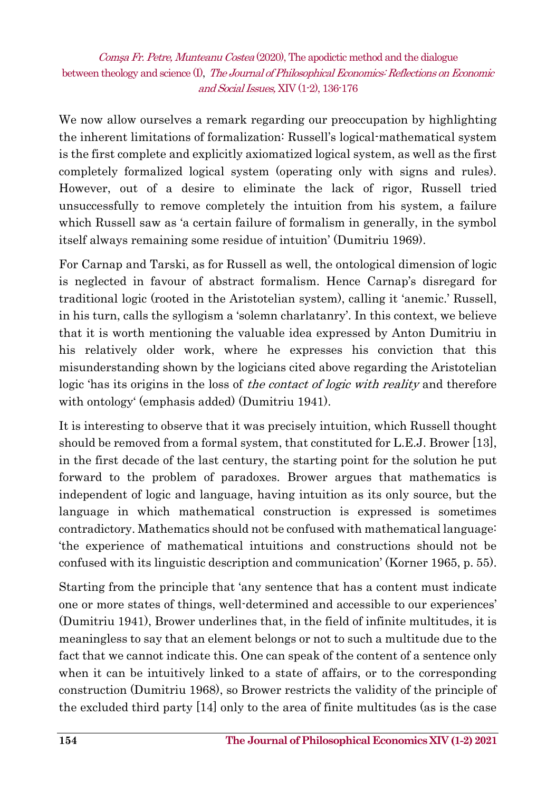We now allow ourselves a remark regarding our preoccupation by highlighting the inherent limitations of formalization: Russell's logical-mathematical system is the first complete and explicitly axiomatized logical system, as well as the first completely formalized logical system (operating only with signs and rules). However, out of a desire to eliminate the lack of rigor, Russell tried unsuccessfully to remove completely the intuition from his system, a failure which Russell saw as 'a certain failure of formalism in generally, in the symbol itself always remaining some residue of intuition' (Dumitriu 1969).

For Carnap and Tarski, as for Russell as well, the ontological dimension of logic is neglected in favour of abstract formalism. Hence Carnap's disregard for traditional logic (rooted in the Aristotelian system), calling it 'anemic.' Russell, in his turn, calls the syllogism a 'solemn charlatanry'. In this context, we believe that it is worth mentioning the valuable idea expressed by Anton Dumitriu in his relatively older work, where he expresses his conviction that this misunderstanding shown by the logicians cited above regarding the Aristotelian logic 'has its origins in the loss of *the contact of logic with reality* and therefore with ontology' (emphasis added) (Dumitriu 1941).

It is interesting to observe that it was precisely intuition, which Russell thought should be removed from a formal system, that constituted for L.E.J. Brower [13], in the first decade of the last century, the starting point for the solution he put forward to the problem of paradoxes. Brower argues that mathematics is independent of logic and language, having intuition as its only source, but the language in which mathematical construction is expressed is sometimes contradictory. Mathematics should not be confused with mathematical language: 'the experience of mathematical intuitions and constructions should not be confused with its linguistic description and communication' (Korner 1965, p. 55).

Starting from the principle that 'any sentence that has a content must indicate one or more states of things, well-determined and accessible to our experiences' (Dumitriu 1941), Brower underlines that, in the field of infinite multitudes, it is meaningless to say that an element belongs or not to such a multitude due to the fact that we cannot indicate this. One can speak of the content of a sentence only when it can be intuitively linked to a state of affairs, or to the corresponding construction (Dumitriu 1968), so Brower restricts the validity of the principle of the excluded third party [14] only to the area of finite multitudes (as is the case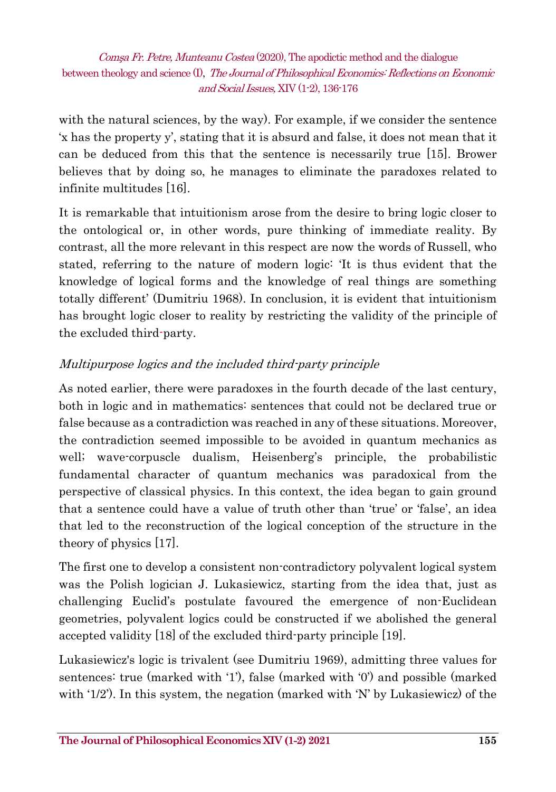with the natural sciences, by the way). For example, if we consider the sentence 'x has the property y', stating that it is absurd and false, it does not mean that it can be deduced from this that the sentence is necessarily true [15]. Brower believes that by doing so, he manages to eliminate the paradoxes related to infinite multitudes [16].

It is remarkable that intuitionism arose from the desire to bring logic closer to the ontological or, in other words, pure thinking of immediate reality. By contrast, all the more relevant in this respect are now the words of Russell, who stated, referring to the nature of modern logic: 'It is thus evident that the knowledge of logical forms and the knowledge of real things are something totally different' (Dumitriu 1968). In conclusion, it is evident that intuitionism has brought logic closer to reality by restricting the validity of the principle of the excluded third-party.

#### Multipurpose logics and the included third-party principle

As noted earlier, there were paradoxes in the fourth decade of the last century, both in logic and in mathematics: sentences that could not be declared true or false because as a contradiction was reached in any of these situations. Moreover, the contradiction seemed impossible to be avoided in quantum mechanics as well; wave-corpuscle dualism, Heisenberg's principle, the probabilistic fundamental character of quantum mechanics was paradoxical from the perspective of classical physics. In this context, the idea began to gain ground that a sentence could have a value of truth other than 'true' or 'false', an idea that led to the reconstruction of the logical conception of the structure in the theory of physics [17].

The first one to develop a consistent non-contradictory polyvalent logical system was the Polish logician J. Lukasiewicz, starting from the idea that, just as challenging Euclid's postulate favoured the emergence of non-Euclidean geometries, polyvalent logics could be constructed if we abolished the general accepted validity [18] of the excluded third-party principle [19].

Lukasiewicz's logic is trivalent (see Dumitriu 1969), admitting three values for sentences: true (marked with '1'), false (marked with '0') and possible (marked with '1/2'). In this system, the negation (marked with 'N' by Lukasiewicz) of the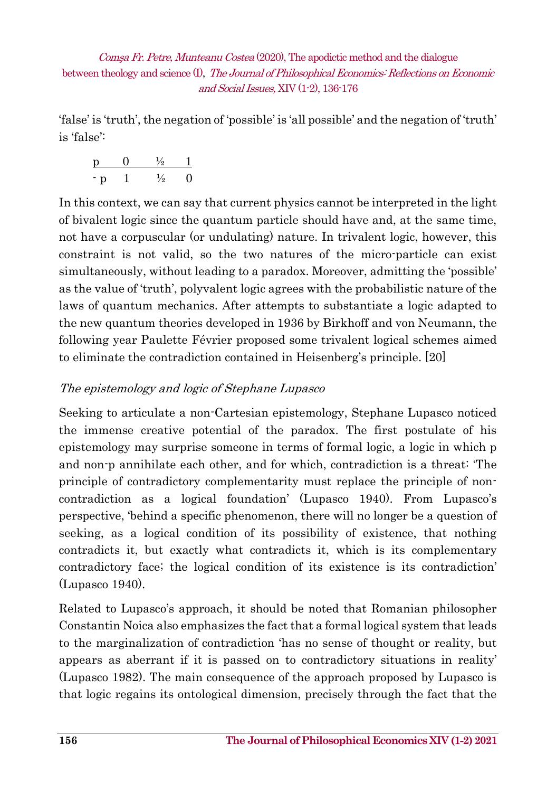'false' is 'truth', the negation of 'possible' is 'all possible' and the negation of 'truth' is 'false':

$$
\begin{array}{cccc}\np & 0 & \frac{1}{2} & 1 \\
\cdot p & 1 & \frac{1}{2} & 0\n\end{array}
$$

In this context, we can say that current physics cannot be interpreted in the light of bivalent logic since the quantum particle should have and, at the same time, not have a corpuscular (or undulating) nature. In trivalent logic, however, this constraint is not valid, so the two natures of the micro-particle can exist simultaneously, without leading to a paradox. Moreover, admitting the 'possible' as the value of 'truth', polyvalent logic agrees with the probabilistic nature of the laws of quantum mechanics. After attempts to substantiate a logic adapted to the new quantum theories developed in 1936 by Birkhoff and von Neumann, the following year Paulette Février proposed some trivalent logical schemes aimed to eliminate the contradiction contained in Heisenberg's principle. [20]

#### The epistemology and logic of Stephane Lupasco

Seeking to articulate a non-Cartesian epistemology, Stephane Lupasco noticed the immense creative potential of the paradox. The first postulate of his epistemology may surprise someone in terms of formal logic, a logic in which p and non-p annihilate each other, and for which, contradiction is a threat: 'The principle of contradictory complementarity must replace the principle of noncontradiction as a logical foundation' (Lupasco 1940). From Lupasco's perspective, 'behind a specific phenomenon, there will no longer be a question of seeking, as a logical condition of its possibility of existence, that nothing contradicts it, but exactly what contradicts it, which is its complementary contradictory face; the logical condition of its existence is its contradiction' (Lupasco 1940).

Related to Lupasco's approach, it should be noted that Romanian philosopher Constantin Noica also emphasizes the fact that a formal logical system that leads to the marginalization of contradiction 'has no sense of thought or reality, but appears as aberrant if it is passed on to contradictory situations in reality' (Lupasco 1982). The main consequence of the approach proposed by Lupasco is that logic regains its ontological dimension, precisely through the fact that the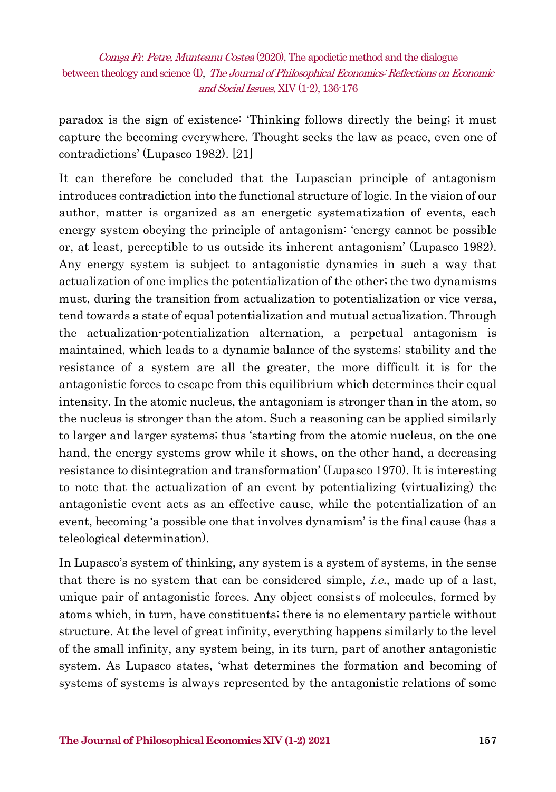paradox is the sign of existence: 'Thinking follows directly the being; it must capture the becoming everywhere. Thought seeks the law as peace, even one of contradictions' (Lupasco 1982). [21]

It can therefore be concluded that the Lupascian principle of antagonism introduces contradiction into the functional structure of logic. In the vision of our author, matter is organized as an energetic systematization of events, each energy system obeying the principle of antagonism: 'energy cannot be possible or, at least, perceptible to us outside its inherent antagonism' (Lupasco 1982). Any energy system is subject to antagonistic dynamics in such a way that actualization of one implies the potentialization of the other; the two dynamisms must, during the transition from actualization to potentialization or vice versa, tend towards a state of equal potentialization and mutual actualization. Through the actualization-potentialization alternation, a perpetual antagonism is maintained, which leads to a dynamic balance of the systems; stability and the resistance of a system are all the greater, the more difficult it is for the antagonistic forces to escape from this equilibrium which determines their equal intensity. In the atomic nucleus, the antagonism is stronger than in the atom, so the nucleus is stronger than the atom. Such a reasoning can be applied similarly to larger and larger systems; thus 'starting from the atomic nucleus, on the one hand, the energy systems grow while it shows, on the other hand, a decreasing resistance to disintegration and transformation' (Lupasco 1970). It is interesting to note that the actualization of an event by potentializing (virtualizing) the antagonistic event acts as an effective cause, while the potentialization of an event, becoming 'a possible one that involves dynamism' is the final cause (has a teleological determination).

In Lupasco's system of thinking, any system is a system of systems, in the sense that there is no system that can be considered simple, i.e., made up of a last, unique pair of antagonistic forces. Any object consists of molecules, formed by atoms which, in turn, have constituents; there is no elementary particle without structure. At the level of great infinity, everything happens similarly to the level of the small infinity, any system being, in its turn, part of another antagonistic system. As Lupasco states, 'what determines the formation and becoming of systems of systems is always represented by the antagonistic relations of some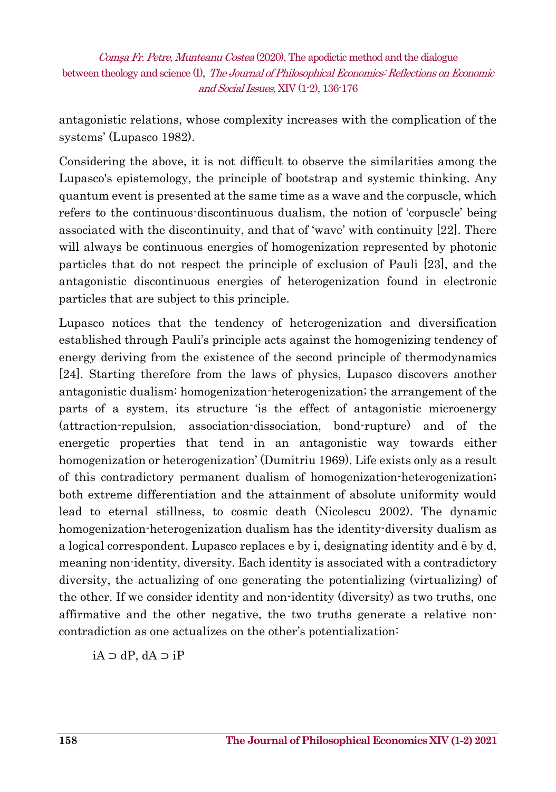antagonistic relations, whose complexity increases with the complication of the systems' (Lupasco 1982).

Considering the above, it is not difficult to observe the similarities among the Lupasco's epistemology, the principle of bootstrap and systemic thinking. Any quantum event is presented at the same time as a wave and the corpuscle, which refers to the continuous-discontinuous dualism, the notion of 'corpuscle' being associated with the discontinuity, and that of 'wave' with continuity [22]. There will always be continuous energies of homogenization represented by photonic particles that do not respect the principle of exclusion of Pauli [23], and the antagonistic discontinuous energies of heterogenization found in electronic particles that are subject to this principle.

Lupasco notices that the tendency of heterogenization and diversification established through Pauli's principle acts against the homogenizing tendency of energy deriving from the existence of the second principle of thermodynamics [24]. Starting therefore from the laws of physics, Lupasco discovers another antagonistic dualism: homogenization-heterogenization; the arrangement of the parts of a system, its structure 'is the effect of antagonistic microenergy (attraction-repulsion, association-dissociation, bond-rupture) and of the energetic properties that tend in an antagonistic way towards either homogenization or heterogenization' (Dumitriu 1969). Life exists only as a result of this contradictory permanent dualism of homogenization-heterogenization; both extreme differentiation and the attainment of absolute uniformity would lead to eternal stillness, to cosmic death (Nicolescu 2002). The dynamic homogenization-heterogenization dualism has the identity-diversity dualism as a logical correspondent. Lupasco replaces e by i, designating identity and ē by d, meaning non-identity, diversity. Each identity is associated with a contradictory diversity, the actualizing of one generating the potentializing (virtualizing) of the other. If we consider identity and non-identity (diversity) as two truths, one affirmative and the other negative, the two truths generate a relative noncontradiction as one actualizes on the other's potentialization:

iA ⊃ dP, dA ⊃ iP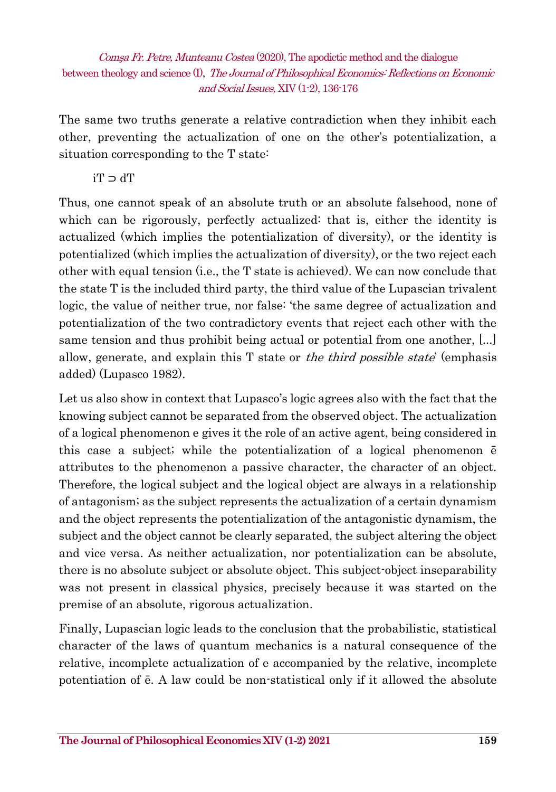The same two truths generate a relative contradiction when they inhibit each other, preventing the actualization of one on the other's potentialization, a situation corresponding to the T state:

iT ⊃ dT

Thus, one cannot speak of an absolute truth or an absolute falsehood, none of which can be rigorously, perfectly actualized: that is, either the identity is actualized (which implies the potentialization of diversity), or the identity is potentialized (which implies the actualization of diversity), or the two reject each other with equal tension (i.e., the T state is achieved). We can now conclude that the state T is the included third party, the third value of the Lupascian trivalent logic, the value of neither true, nor false: 'the same degree of actualization and potentialization of the two contradictory events that reject each other with the same tension and thus prohibit being actual or potential from one another, [...] allow, generate, and explain this T state or the third possible state' (emphasis added) (Lupasco 1982).

Let us also show in context that Lupasco's logic agrees also with the fact that the knowing subject cannot be separated from the observed object. The actualization of a logical phenomenon e gives it the role of an active agent, being considered in this case a subject; while the potentialization of a logical phenomenon ē attributes to the phenomenon a passive character, the character of an object. Therefore, the logical subject and the logical object are always in a relationship of antagonism; as the subject represents the actualization of a certain dynamism and the object represents the potentialization of the antagonistic dynamism, the subject and the object cannot be clearly separated, the subject altering the object and vice versa. As neither actualization, nor potentialization can be absolute, there is no absolute subject or absolute object. This subject-object inseparability was not present in classical physics, precisely because it was started on the premise of an absolute, rigorous actualization.

Finally, Lupascian logic leads to the conclusion that the probabilistic, statistical character of the laws of quantum mechanics is a natural consequence of the relative, incomplete actualization of e accompanied by the relative, incomplete potentiation of ē. A law could be non-statistical only if it allowed the absolute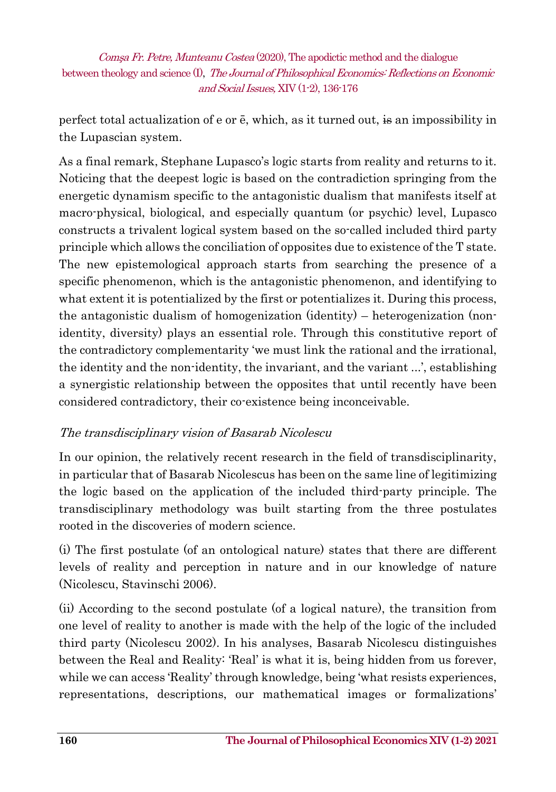perfect total actualization of e or ē, which, as it turned out, is an impossibility in the Lupascian system.

As a final remark, Stephane Lupasco's logic starts from reality and returns to it. Noticing that the deepest logic is based on the contradiction springing from the energetic dynamism specific to the antagonistic dualism that manifests itself at macro-physical, biological, and especially quantum (or psychic) level, Lupasco constructs a trivalent logical system based on the so-called included third party principle which allows the conciliation of opposites due to existence of the T state. The new epistemological approach starts from searching the presence of a specific phenomenon, which is the antagonistic phenomenon, and identifying to what extent it is potentialized by the first or potentializes it. During this process, the antagonistic dualism of homogenization (identity) – heterogenization (nonidentity, diversity) plays an essential role. Through this constitutive report of the contradictory complementarity 'we must link the rational and the irrational, the identity and the non-identity, the invariant, and the variant ...', establishing a synergistic relationship between the opposites that until recently have been considered contradictory, their co-existence being inconceivable.

#### The transdisciplinary vision of Basarab Nicolescu

In our opinion, the relatively recent research in the field of transdisciplinarity, in particular that of Basarab Nicolescus has been on the same line of legitimizing the logic based on the application of the included third-party principle. The transdisciplinary methodology was built starting from the three postulates rooted in the discoveries of modern science.

(i) The first postulate (of an ontological nature) states that there are different levels of reality and perception in nature and in our knowledge of nature (Nicolescu, Stavinschi 2006).

(ii) According to the second postulate (of a logical nature), the transition from one level of reality to another is made with the help of the logic of the included third party (Nicolescu 2002). In his analyses, Basarab Nicolescu distinguishes between the Real and Reality: 'Real' is what it is, being hidden from us forever, while we can access 'Reality' through knowledge, being 'what resists experiences, representations, descriptions, our mathematical images or formalizations'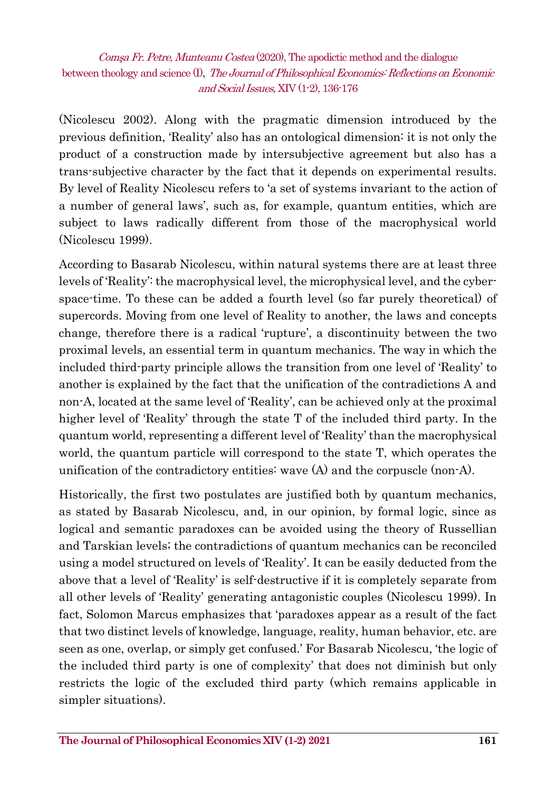(Nicolescu 2002). Along with the pragmatic dimension introduced by the previous definition, 'Reality' also has an ontological dimension: it is not only the product of a construction made by intersubjective agreement but also has a trans-subjective character by the fact that it depends on experimental results. By level of Reality Nicolescu refers to 'a set of systems invariant to the action of a number of general laws', such as, for example, quantum entities, which are subject to laws radically different from those of the macrophysical world (Nicolescu 1999).

According to Basarab Nicolescu, within natural systems there are at least three levels of 'Reality': the macrophysical level, the microphysical level, and the cyberspace-time. To these can be added a fourth level (so far purely theoretical) of supercords. Moving from one level of Reality to another, the laws and concepts change, therefore there is a radical 'rupture', a discontinuity between the two proximal levels, an essential term in quantum mechanics. The way in which the included third-party principle allows the transition from one level of 'Reality' to another is explained by the fact that the unification of the contradictions A and non-A, located at the same level of 'Reality', can be achieved only at the proximal higher level of 'Reality' through the state T of the included third party. In the quantum world, representing a different level of 'Reality' than the macrophysical world, the quantum particle will correspond to the state T, which operates the unification of the contradictory entities: wave (A) and the corpuscle (non-A).

Historically, the first two postulates are justified both by quantum mechanics, as stated by Basarab Nicolescu, and, in our opinion, by formal logic, since as logical and semantic paradoxes can be avoided using the theory of Russellian and Tarskian levels; the contradictions of quantum mechanics can be reconciled using a model structured on levels of 'Reality'. It can be easily deducted from the above that a level of 'Reality' is self-destructive if it is completely separate from all other levels of 'Reality' generating antagonistic couples (Nicolescu 1999). In fact, Solomon Marcus emphasizes that 'paradoxes appear as a result of the fact that two distinct levels of knowledge, language, reality, human behavior, etc. are seen as one, overlap, or simply get confused.' For Basarab Nicolescu, 'the logic of the included third party is one of complexity' that does not diminish but only restricts the logic of the excluded third party (which remains applicable in simpler situations).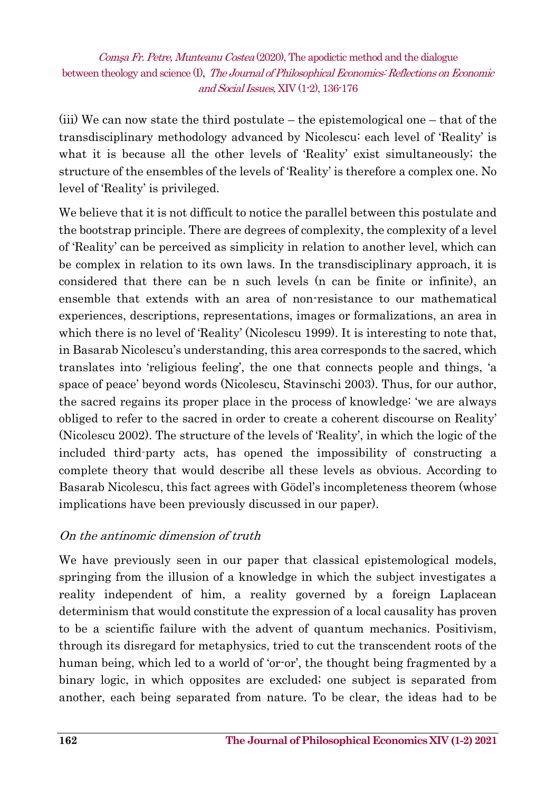(iii) We can now state the third postulate – the epistemological one – that of the transdisciplinary methodology advanced by Nicolescu: each level of 'Reality' is what it is because all the other levels of 'Reality' exist simultaneously; the structure of the ensembles of the levels of 'Reality' is therefore a complex one. No level of 'Reality' is privileged.

We believe that it is not difficult to notice the parallel between this postulate and the bootstrap principle. There are degrees of complexity, the complexity of a level of 'Reality' can be perceived as simplicity in relation to another level, which can be complex in relation to its own laws. In the transdisciplinary approach, it is considered that there can be n such levels (n can be finite or infinite), an ensemble that extends with an area of non-resistance to our mathematical experiences, descriptions, representations, images or formalizations, an area in which there is no level of 'Reality' (Nicolescu 1999). It is interesting to note that, in Basarab Nicolescu's understanding, this area corresponds to the sacred, which translates into 'religious feeling', the one that connects people and things, 'a space of peace' beyond words (Nicolescu, Stavinschi 2003). Thus, for our author, the sacred regains its proper place in the process of knowledge: 'we are always obliged to refer to the sacred in order to create a coherent discourse on Reality' (Nicolescu 2002). The structure of the levels of 'Reality', in which the logic of the included third-party acts, has opened the impossibility of constructing a complete theory that would describe all these levels as obvious. According to Basarab Nicolescu, this fact agrees with Gödel's incompleteness theorem (whose implications have been previously discussed in our paper).

#### On the antinomic dimension of truth

We have previously seen in our paper that classical epistemological models, springing from the illusion of a knowledge in which the subject investigates a reality independent of him, a reality governed by a foreign Laplacean determinism that would constitute the expression of a local causality has proven to be a scientific failure with the advent of quantum mechanics. Positivism, through its disregard for metaphysics, tried to cut the transcendent roots of the human being, which led to a world of 'or-or', the thought being fragmented by a binary logic, in which opposites are excluded; one subject is separated from another, each being separated from nature. To be clear, the ideas had to be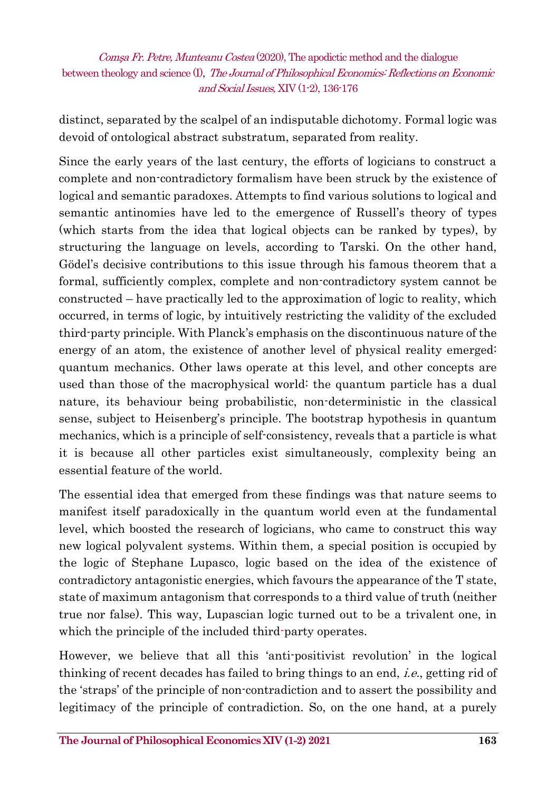distinct, separated by the scalpel of an indisputable dichotomy. Formal logic was devoid of ontological abstract substratum, separated from reality.

Since the early years of the last century, the efforts of logicians to construct a complete and non-contradictory formalism have been struck by the existence of logical and semantic paradoxes. Attempts to find various solutions to logical and semantic antinomies have led to the emergence of Russell's theory of types (which starts from the idea that logical objects can be ranked by types), by structuring the language on levels, according to Tarski. On the other hand, Gödel's decisive contributions to this issue through his famous theorem that a formal, sufficiently complex, complete and non-contradictory system cannot be constructed – have practically led to the approximation of logic to reality, which occurred, in terms of logic, by intuitively restricting the validity of the excluded third-party principle. With Planck's emphasis on the discontinuous nature of the energy of an atom, the existence of another level of physical reality emerged: quantum mechanics. Other laws operate at this level, and other concepts are used than those of the macrophysical world: the quantum particle has a dual nature, its behaviour being probabilistic, non-deterministic in the classical sense, subject to Heisenberg's principle. The bootstrap hypothesis in quantum mechanics, which is a principle of self-consistency, reveals that a particle is what it is because all other particles exist simultaneously, complexity being an essential feature of the world.

The essential idea that emerged from these findings was that nature seems to manifest itself paradoxically in the quantum world even at the fundamental level, which boosted the research of logicians, who came to construct this way new logical polyvalent systems. Within them, a special position is occupied by the logic of Stephane Lupasco, logic based on the idea of the existence of contradictory antagonistic energies, which favours the appearance of the T state, state of maximum antagonism that corresponds to a third value of truth (neither true nor false). This way, Lupascian logic turned out to be a trivalent one, in which the principle of the included third-party operates.

However, we believe that all this 'anti-positivist revolution' in the logical thinking of recent decades has failed to bring things to an end, i.e., getting rid of the 'straps' of the principle of non-contradiction and to assert the possibility and legitimacy of the principle of contradiction. So, on the one hand, at a purely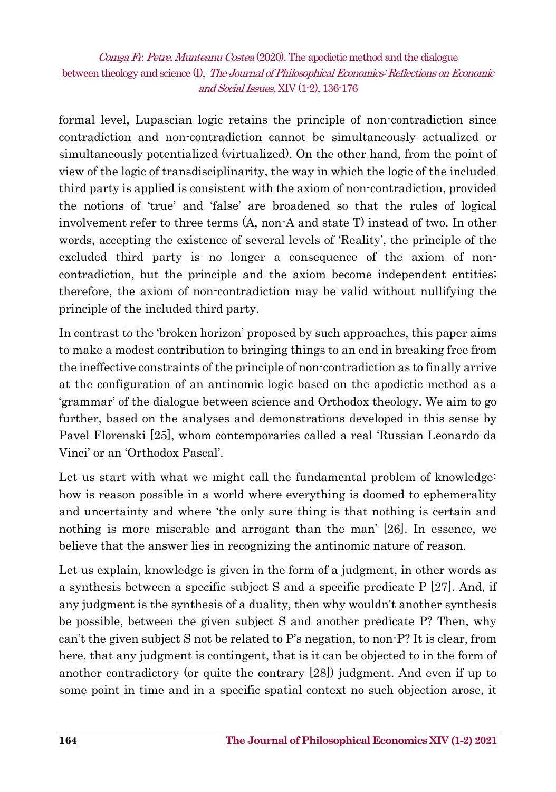formal level, Lupascian logic retains the principle of non-contradiction since contradiction and non-contradiction cannot be simultaneously actualized or simultaneously potentialized (virtualized). On the other hand, from the point of view of the logic of transdisciplinarity, the way in which the logic of the included third party is applied is consistent with the axiom of non-contradiction, provided the notions of 'true' and 'false' are broadened so that the rules of logical involvement refer to three terms (A, non-A and state T) instead of two. In other words, accepting the existence of several levels of 'Reality', the principle of the excluded third party is no longer a consequence of the axiom of noncontradiction, but the principle and the axiom become independent entities; therefore, the axiom of non-contradiction may be valid without nullifying the principle of the included third party.

In contrast to the 'broken horizon' proposed by such approaches, this paper aims to make a modest contribution to bringing things to an end in breaking free from the ineffective constraints of the principle of non-contradiction as to finally arrive at the configuration of an antinomic logic based on the apodictic method as a 'grammar' of the dialogue between science and Orthodox theology. We aim to go further, based on the analyses and demonstrations developed in this sense by Pavel Florenski [25], whom contemporaries called a real 'Russian Leonardo da Vinci' or an 'Orthodox Pascal'.

Let us start with what we might call the fundamental problem of knowledge: how is reason possible in a world where everything is doomed to ephemerality and uncertainty and where 'the only sure thing is that nothing is certain and nothing is more miserable and arrogant than the man' [26]. In essence, we believe that the answer lies in recognizing the antinomic nature of reason.

Let us explain, knowledge is given in the form of a judgment, in other words as a synthesis between a specific subject S and a specific predicate  $P$  [27]. And, if any judgment is the synthesis of a duality, then why wouldn't another synthesis be possible, between the given subject S and another predicate P? Then, why can't the given subject S not be related to P's negation, to non-P? It is clear, from here, that any judgment is contingent, that is it can be objected to in the form of another contradictory (or quite the contrary [28]) judgment. And even if up to some point in time and in a specific spatial context no such objection arose, it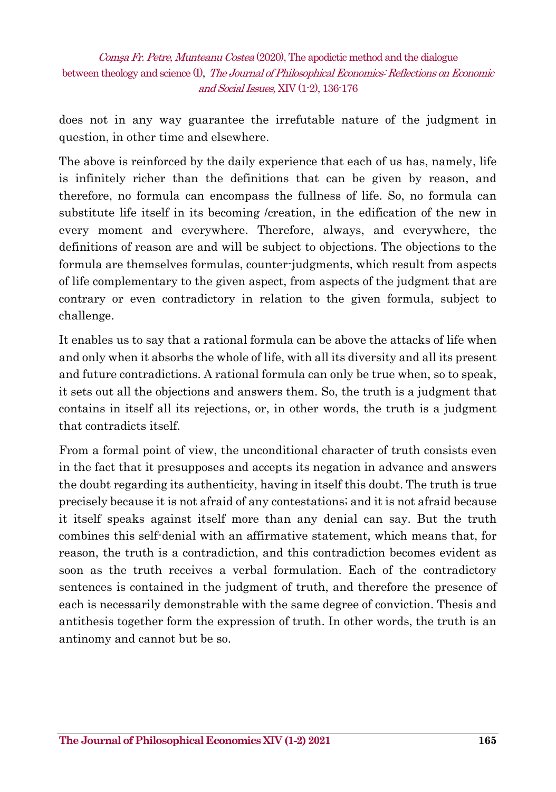does not in any way guarantee the irrefutable nature of the judgment in question, in other time and elsewhere.

The above is reinforced by the daily experience that each of us has, namely, life is infinitely richer than the definitions that can be given by reason, and therefore, no formula can encompass the fullness of life. So, no formula can substitute life itself in its becoming /creation, in the edification of the new in every moment and everywhere. Therefore, always, and everywhere, the definitions of reason are and will be subject to objections. The objections to the formula are themselves formulas, counter-judgments, which result from aspects of life complementary to the given aspect, from aspects of the judgment that are contrary or even contradictory in relation to the given formula, subject to challenge.

It enables us to say that a rational formula can be above the attacks of life when and only when it absorbs the whole of life, with all its diversity and all its present and future contradictions. A rational formula can only be true when, so to speak, it sets out all the objections and answers them. So, the truth is a judgment that contains in itself all its rejections, or, in other words, the truth is a judgment that contradicts itself.

From a formal point of view, the unconditional character of truth consists even in the fact that it presupposes and accepts its negation in advance and answers the doubt regarding its authenticity, having in itself this doubt. The truth is true precisely because it is not afraid of any contestations; and it is not afraid because it itself speaks against itself more than any denial can say. But the truth combines this self-denial with an affirmative statement, which means that, for reason, the truth is a contradiction, and this contradiction becomes evident as soon as the truth receives a verbal formulation. Each of the contradictory sentences is contained in the judgment of truth, and therefore the presence of each is necessarily demonstrable with the same degree of conviction. Thesis and antithesis together form the expression of truth. In other words, the truth is an antinomy and cannot but be so.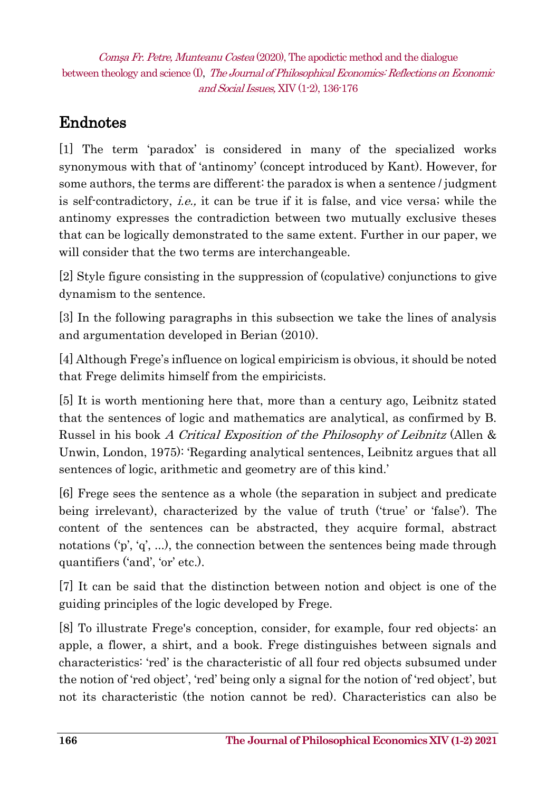## Endnotes

[1] The term 'paradox' is considered in many of the specialized works synonymous with that of 'antinomy' (concept introduced by Kant). However, for some authors, the terms are different: the paradox is when a sentence / judgment is self-contradictory, *i.e.*, it can be true if it is false, and vice versa; while the antinomy expresses the contradiction between two mutually exclusive theses that can be logically demonstrated to the same extent. Further in our paper, we will consider that the two terms are interchangeable.

[2] Style figure consisting in the suppression of (copulative) conjunctions to give dynamism to the sentence.

[3] In the following paragraphs in this subsection we take the lines of analysis and argumentation developed in Berian (2010).

[4] Although Frege's influence on logical empiricism is obvious, it should be noted that Frege delimits himself from the empiricists.

[5] It is worth mentioning here that, more than a century ago, Leibnitz stated that the sentences of logic and mathematics are analytical, as confirmed by B. Russel in his book A Critical Exposition of the Philosophy of Leibnitz (Allen & Unwin, London, 1975): 'Regarding analytical sentences, Leibnitz argues that all sentences of logic, arithmetic and geometry are of this kind.'

[6] Frege sees the sentence as a whole (the separation in subject and predicate being irrelevant), characterized by the value of truth ('true' or 'false'). The content of the sentences can be abstracted, they acquire formal, abstract notations ('p', 'q', ...), the connection between the sentences being made through quantifiers ('and', 'or' etc.).

[7] It can be said that the distinction between notion and object is one of the guiding principles of the logic developed by Frege.

[8] To illustrate Frege's conception, consider, for example, four red objects: an apple, a flower, a shirt, and a book. Frege distinguishes between signals and characteristics: 'red' is the characteristic of all four red objects subsumed under the notion of 'red object', 'red' being only a signal for the notion of 'red object', but not its characteristic (the notion cannot be red). Characteristics can also be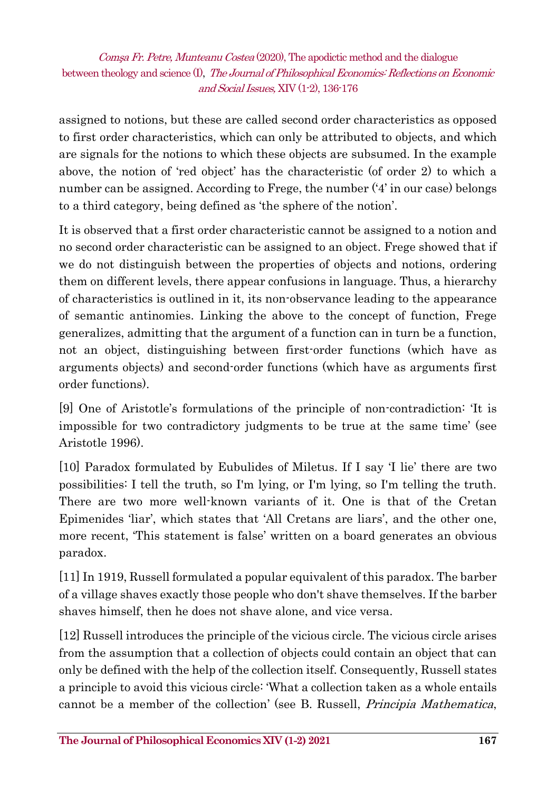assigned to notions, but these are called second order characteristics as opposed to first order characteristics, which can only be attributed to objects, and which are signals for the notions to which these objects are subsumed. In the example above, the notion of 'red object' has the characteristic (of order 2) to which a number can be assigned. According to Frege, the number ('4' in our case) belongs to a third category, being defined as 'the sphere of the notion'.

It is observed that a first order characteristic cannot be assigned to a notion and no second order characteristic can be assigned to an object. Frege showed that if we do not distinguish between the properties of objects and notions, ordering them on different levels, there appear confusions in language. Thus, a hierarchy of characteristics is outlined in it, its non-observance leading to the appearance of semantic antinomies. Linking the above to the concept of function, Frege generalizes, admitting that the argument of a function can in turn be a function, not an object, distinguishing between first-order functions (which have as arguments objects) and second-order functions (which have as arguments first order functions).

[9] One of Aristotle's formulations of the principle of non-contradiction: 'It is impossible for two contradictory judgments to be true at the same time' (see Aristotle 1996).

[10] Paradox formulated by Eubulides of Miletus. If I say 'I lie' there are two possibilities: I tell the truth, so I'm lying, or I'm lying, so I'm telling the truth. There are two more well-known variants of it. One is that of the Cretan Epimenides 'liar', which states that 'All Cretans are liars', and the other one, more recent, 'This statement is false' written on a board generates an obvious paradox.

[11] In 1919, Russell formulated a popular equivalent of this paradox. The barber of a village shaves exactly those people who don't shave themselves. If the barber shaves himself, then he does not shave alone, and vice versa.

[12] Russell introduces the principle of the vicious circle. The vicious circle arises from the assumption that a collection of objects could contain an object that can only be defined with the help of the collection itself. Consequently, Russell states a principle to avoid this vicious circle: 'What a collection taken as a whole entails cannot be a member of the collection' (see B. Russell, Principia Mathematica,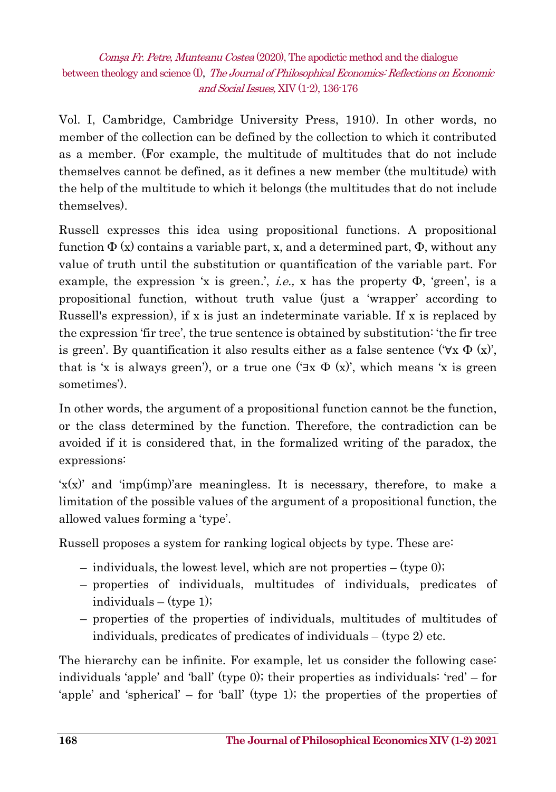Vol. I, Cambridge, Cambridge University Press, 1910). In other words, no member of the collection can be defined by the collection to which it contributed as a member. (For example, the multitude of multitudes that do not include themselves cannot be defined, as it defines a new member (the multitude) with the help of the multitude to which it belongs (the multitudes that do not include themselves).

Russell expresses this idea using propositional functions. A propositional function  $\Phi(x)$  contains a variable part, x, and a determined part,  $\Phi$ , without any value of truth until the substitution or quantification of the variable part. For example, the expression 'x is green.', *i.e.*, x has the property  $\Phi$ , 'green', is a propositional function, without truth value (just a 'wrapper' according to Russell's expression), if x is just an indeterminate variable. If x is replaced by the expression 'fir tree', the true sentence is obtained by substitution: 'the fir tree is green'. By quantification it also results either as a false sentence (' $\forall x \Phi(x)$ ', that is 'x is always green'), or a true one ( $\exists x \Phi(x)$ ', which means 'x is green sometimes').

In other words, the argument of a propositional function cannot be the function, or the class determined by the function. Therefore, the contradiction can be avoided if it is considered that, in the formalized writing of the paradox, the expressions:

 $x(x)$  and 'imp(imp)'are meaningless. It is necessary, therefore, to make a limitation of the possible values of the argument of a propositional function, the allowed values forming a 'type'.

Russell proposes a system for ranking logical objects by type. These are:

- individuals, the lowest level, which are not properties (type  $0$ );
- properties of individuals, multitudes of individuals, predicates of individuals – (type 1);
- properties of the properties of individuals, multitudes of multitudes of individuals, predicates of predicates of individuals – (type 2) etc.

The hierarchy can be infinite. For example, let us consider the following case: individuals 'apple' and 'ball' (type 0); their properties as individuals: 'red' – for 'apple' and 'spherical' – for 'ball' (type 1); the properties of the properties of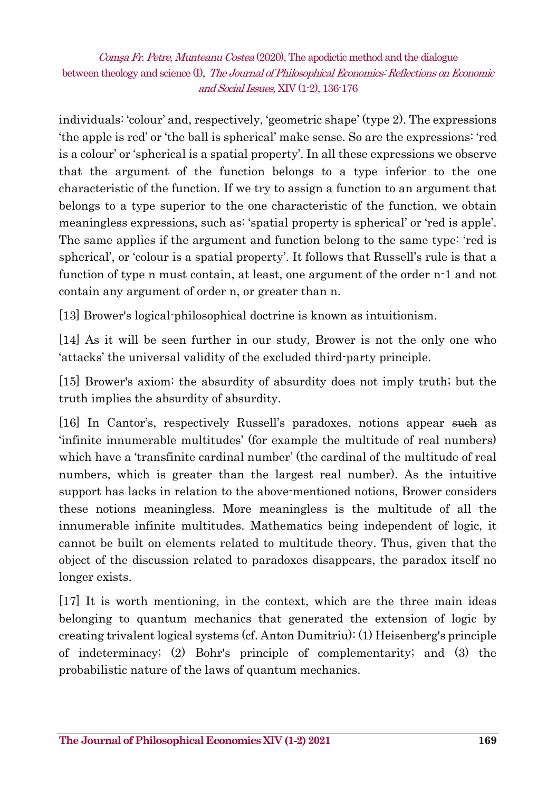individuals: 'colour' and, respectively, 'geometric shape' (type 2). The expressions 'the apple is red' or 'the ball is spherical' make sense. So are the expressions: 'red is a colour' or 'spherical is a spatial property'. In all these expressions we observe that the argument of the function belongs to a type inferior to the one characteristic of the function. If we try to assign a function to an argument that belongs to a type superior to the one characteristic of the function, we obtain meaningless expressions, such as: 'spatial property is spherical' or 'red is apple'. The same applies if the argument and function belong to the same type: 'red is spherical', or 'colour is a spatial property'. It follows that Russell's rule is that a function of type n must contain, at least, one argument of the order n-1 and not contain any argument of order n, or greater than n.

[13] Brower's logical-philosophical doctrine is known as intuitionism.

[14] As it will be seen further in our study, Brower is not the only one who 'attacks' the universal validity of the excluded third-party principle.

[15] Brower's axiom: the absurdity of absurdity does not imply truth; but the truth implies the absurdity of absurdity.

[16] In Cantor's, respectively Russell's paradoxes, notions appear such as 'infinite innumerable multitudes' (for example the multitude of real numbers) which have a 'transfinite cardinal number' (the cardinal of the multitude of real numbers, which is greater than the largest real number). As the intuitive support has lacks in relation to the above-mentioned notions, Brower considers these notions meaningless. More meaningless is the multitude of all the innumerable infinite multitudes. Mathematics being independent of logic, it cannot be built on elements related to multitude theory. Thus, given that the object of the discussion related to paradoxes disappears, the paradox itself no longer exists.

[17] It is worth mentioning, in the context, which are the three main ideas belonging to quantum mechanics that generated the extension of logic by creating trivalent logical systems (cf. Anton Dumitriu): (1) Heisenberg's principle of indeterminacy; (2) Bohr's principle of complementarity; and (3) the probabilistic nature of the laws of quantum mechanics.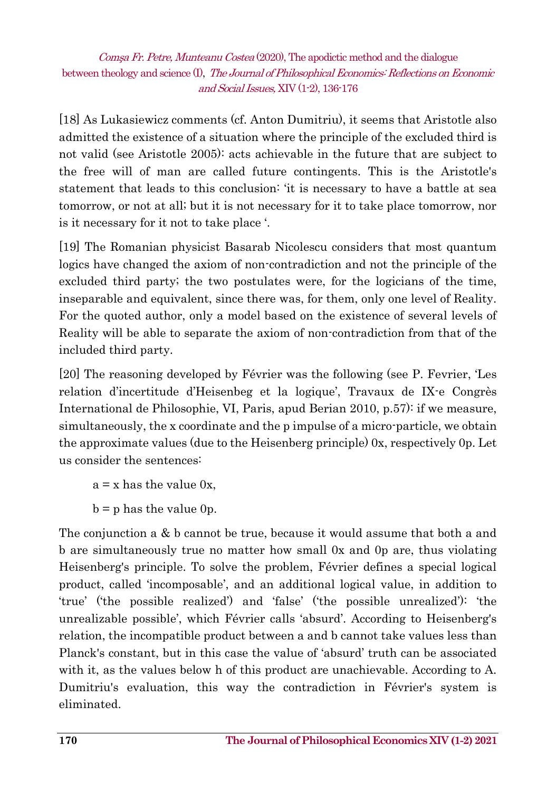[18] As Lukasiewicz comments (cf. Anton Dumitriu), it seems that Aristotle also admitted the existence of a situation where the principle of the excluded third is not valid (see Aristotle 2005): acts achievable in the future that are subject to the free will of man are called future contingents. This is the Aristotle's statement that leads to this conclusion: 'it is necessary to have a battle at sea tomorrow, or not at all; but it is not necessary for it to take place tomorrow, nor is it necessary for it not to take place '.

[19] The Romanian physicist Basarab Nicolescu considers that most quantum logics have changed the axiom of non-contradiction and not the principle of the excluded third party; the two postulates were, for the logicians of the time, inseparable and equivalent, since there was, for them, only one level of Reality. For the quoted author, only a model based on the existence of several levels of Reality will be able to separate the axiom of non-contradiction from that of the included third party.

[20] The reasoning developed by Février was the following (see P. Fevrier, 'Les relation d'incertitude d'Heisenbeg et la logique', Travaux de IX-e Congrès International de Philosophie, VI, Paris, apud Berian 2010, p.57): if we measure, simultaneously, the x coordinate and the p impulse of a micro-particle, we obtain the approximate values (due to the Heisenberg principle) 0x, respectively 0p. Let us consider the sentences:

 $a = x$  has the value 0x.

 $b = p$  has the value 0p.

The conjunction a & b cannot be true, because it would assume that both a and b are simultaneously true no matter how small 0x and 0p are, thus violating Heisenberg's principle. To solve the problem, Février defines a special logical product, called 'incomposable', and an additional logical value, in addition to 'true' ('the possible realized') and 'false' ('the possible unrealized'): 'the unrealizable possible', which Février calls 'absurd'. According to Heisenberg's relation, the incompatible product between a and b cannot take values less than Planck's constant, but in this case the value of 'absurd' truth can be associated with it, as the values below h of this product are unachievable. According to A. Dumitriu's evaluation, this way the contradiction in Février's system is eliminated.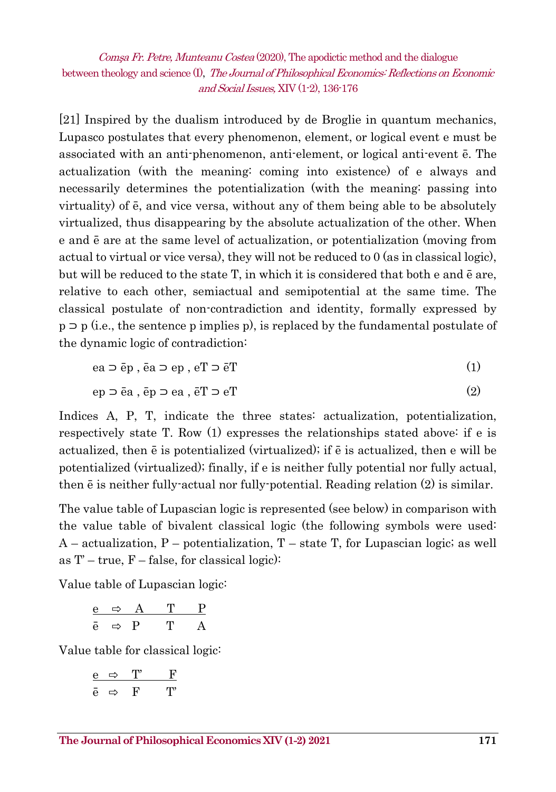[21] Inspired by the dualism introduced by de Broglie in quantum mechanics, Lupasco postulates that every phenomenon, element, or logical event e must be associated with an anti-phenomenon, anti-element, or logical anti-event ē. The actualization (with the meaning: coming into existence) of e always and necessarily determines the potentialization (with the meaning: passing into virtuality) of ē, and vice versa, without any of them being able to be absolutely virtualized, thus disappearing by the absolute actualization of the other. When e and ē are at the same level of actualization, or potentialization (moving from actual to virtual or vice versa), they will not be reduced to 0 (as in classical logic), but will be reduced to the state T, in which it is considered that both e and ē are, relative to each other, semiactual and semipotential at the same time. The classical postulate of non-contradiction and identity, formally expressed by p ⊃ p (i.e., the sentence p implies p), is replaced by the fundamental postulate of the dynamic logic of contradiction:

$$
ea \supset \bar{e}p \ , \ \bar{e}a \supset ep \ , \ eT \supset \bar{e}T \tag{1}
$$

$$
ep \supset \bar{e}a \ , \ \bar{e}p \supset ea \ , \ \bar{e}T \supset eT \tag{2}
$$

Indices A, P, T, indicate the three states: actualization, potentialization, respectively state T. Row (1) expresses the relationships stated above: if e is actualized, then ē is potentialized (virtualized); if ē is actualized, then e will be potentialized (virtualized); finally, if e is neither fully potential nor fully actual, then ē is neither fully-actual nor fully-potential. Reading relation (2) is similar.

The value table of Lupascian logic is represented (see below) in comparison with the value table of bivalent classical logic (the following symbols were used:  $A$  – actualization, P – potentialization, T – state T, for Lupascian logic; as well as  $T'$  – true,  $F$  – false, for classical logic):

Value table of Lupascian logic:

|   | - 1 | в |  |
|---|-----|---|--|
| e |     | D |  |

Value table for classical logic:

$$
\begin{array}{ccccc}\n\mathbf{e} & \Leftrightarrow & \mathbf{T}' & \mathbf{F} \\
\hline\n\mathbf{e} & \Leftrightarrow & \mathbf{F} & \mathbf{T}'\n\end{array}
$$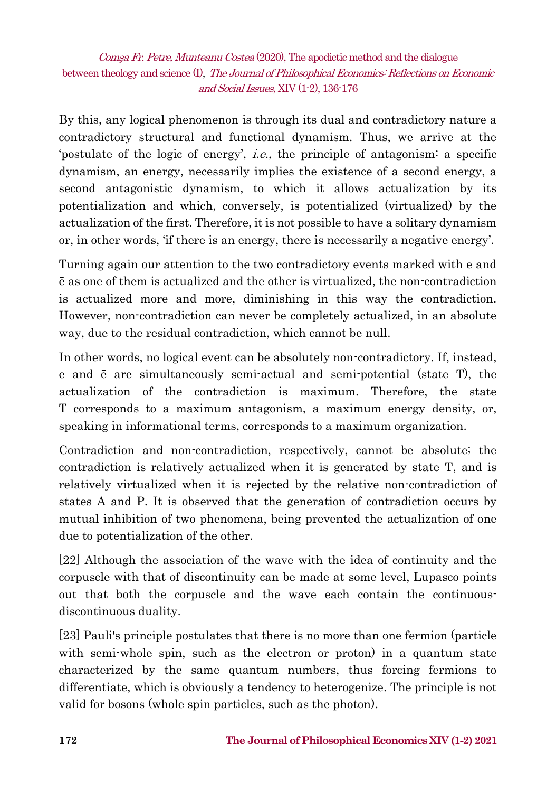By this, any logical phenomenon is through its dual and contradictory nature a contradictory structural and functional dynamism. Thus, we arrive at the 'postulate of the logic of energy', i.e., the principle of antagonism: a specific dynamism, an energy, necessarily implies the existence of a second energy, a second antagonistic dynamism, to which it allows actualization by its potentialization and which, conversely, is potentialized (virtualized) by the actualization of the first. Therefore, it is not possible to have a solitary dynamism or, in other words, 'if there is an energy, there is necessarily a negative energy'.

Turning again our attention to the two contradictory events marked with e and ē as one of them is actualized and the other is virtualized, the non-contradiction is actualized more and more, diminishing in this way the contradiction. However, non-contradiction can never be completely actualized, in an absolute way, due to the residual contradiction, which cannot be null.

In other words, no logical event can be absolutely non-contradictory. If, instead, e and ē are simultaneously semi-actual and semi-potential (state T), the actualization of the contradiction is maximum. Therefore, the state T corresponds to a maximum antagonism, a maximum energy density, or, speaking in informational terms, corresponds to a maximum organization.

Contradiction and non-contradiction, respectively, cannot be absolute; the contradiction is relatively actualized when it is generated by state T, and is relatively virtualized when it is rejected by the relative non-contradiction of states A and P. It is observed that the generation of contradiction occurs by mutual inhibition of two phenomena, being prevented the actualization of one due to potentialization of the other.

[22] Although the association of the wave with the idea of continuity and the corpuscle with that of discontinuity can be made at some level, Lupasco points out that both the corpuscle and the wave each contain the continuousdiscontinuous duality.

[23] Pauli's principle postulates that there is no more than one fermion (particle with semi-whole spin, such as the electron or proton) in a quantum state characterized by the same quantum numbers, thus forcing fermions to differentiate, which is obviously a tendency to heterogenize. The principle is not valid for bosons (whole spin particles, such as the photon).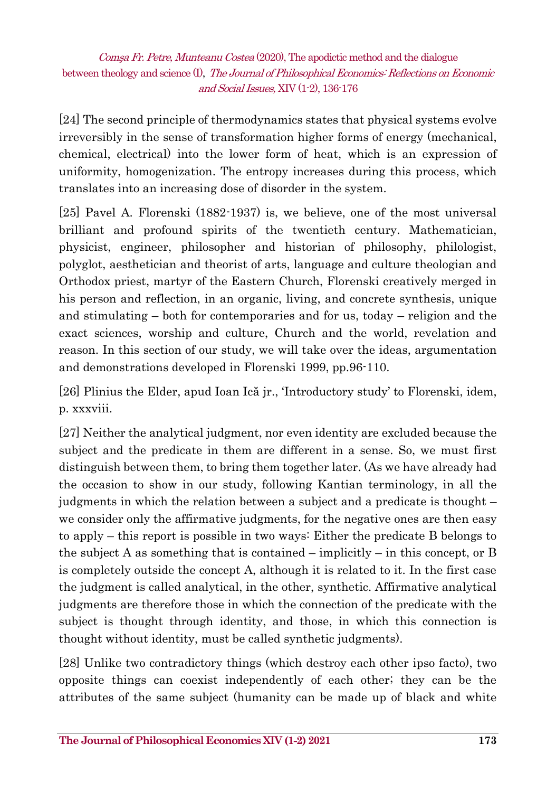[24] The second principle of thermodynamics states that physical systems evolve irreversibly in the sense of transformation higher forms of energy (mechanical, chemical, electrical) into the lower form of heat, which is an expression of uniformity, homogenization. The entropy increases during this process, which translates into an increasing dose of disorder in the system.

[25] Pavel A. Florenski (1882-1937) is, we believe, one of the most universal brilliant and profound spirits of the twentieth century. Mathematician, physicist, engineer, philosopher and historian of philosophy, philologist, polyglot, aesthetician and theorist of arts, language and culture theologian and Orthodox priest, martyr of the Eastern Church, Florenski creatively merged in his person and reflection, in an organic, living, and concrete synthesis, unique and stimulating – both for contemporaries and for us, today – religion and the exact sciences, worship and culture, Church and the world, revelation and reason. In this section of our study, we will take over the ideas, argumentation and demonstrations developed in Florenski 1999, pp.96-110.

[26] Plinius the Elder, apud Ioan Ică jr., 'Introductory study' to Florenski, idem, p. xxxviii.

[27] Neither the analytical judgment, nor even identity are excluded because the subject and the predicate in them are different in a sense. So, we must first distinguish between them, to bring them together later. (As we have already had the occasion to show in our study, following Kantian terminology, in all the judgments in which the relation between a subject and a predicate is thought – we consider only the affirmative judgments, for the negative ones are then easy to apply – this report is possible in two ways: Either the predicate B belongs to the subject A as something that is contained – implicitly – in this concept, or B is completely outside the concept A, although it is related to it. In the first case the judgment is called analytical, in the other, synthetic. Affirmative analytical judgments are therefore those in which the connection of the predicate with the subject is thought through identity, and those, in which this connection is thought without identity, must be called synthetic judgments).

[28] Unlike two contradictory things (which destroy each other ipso facto), two opposite things can coexist independently of each other; they can be the attributes of the same subject (humanity can be made up of black and white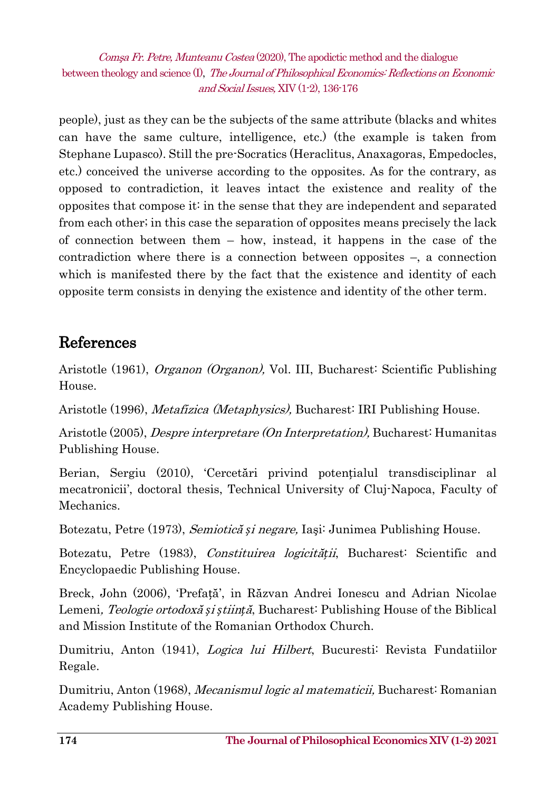people), just as they can be the subjects of the same attribute (blacks and whites can have the same culture, intelligence, etc.) (the example is taken from Stephane Lupasco). Still the pre-Socratics (Heraclitus, Anaxagoras, Empedocles, etc.) conceived the universe according to the opposites. As for the contrary, as opposed to contradiction, it leaves intact the existence and reality of the opposites that compose it: in the sense that they are independent and separated from each other; in this case the separation of opposites means precisely the lack of connection between them – how, instead, it happens in the case of the contradiction where there is a connection between opposites –, a connection which is manifested there by the fact that the existence and identity of each opposite term consists in denying the existence and identity of the other term.

### References

Aristotle (1961), Organon (Organon), Vol. III, Bucharest: Scientific Publishing House.

Aristotle (1996), Metafizica (Metaphysics), Bucharest: IRI Publishing House.

Aristotle (2005), Despre interpretare (On Interpretation), Bucharest: Humanitas Publishing House.

Berian, Sergiu (2010), 'Cercetări privind potențialul transdisciplinar al mecatronicii', doctoral thesis, Technical University of Cluj-Napoca, Faculty of Mechanics.

Botezatu, Petre (1973), Semiotică *ș*i negare, Iaşi: Junimea Publishing House.

Botezatu, Petre (1983), Constituirea logicită*ț*ii, Bucharest: Scientific and Encyclopaedic Publishing House.

Breck, John (2006), 'Prefață', in Răzvan Andrei Ionescu and Adrian Nicolae Lemeni, Teologie ortodoxă *ș*i *ș*tiin*ț*ă, Bucharest: Publishing House of the Biblical and Mission Institute of the Romanian Orthodox Church.

Dumitriu, Anton (1941), Logica lui Hilbert, Bucuresti: Revista Fundatiilor Regale.

Dumitriu, Anton (1968), Mecanismul logic al matematicii, Bucharest: Romanian Academy Publishing House.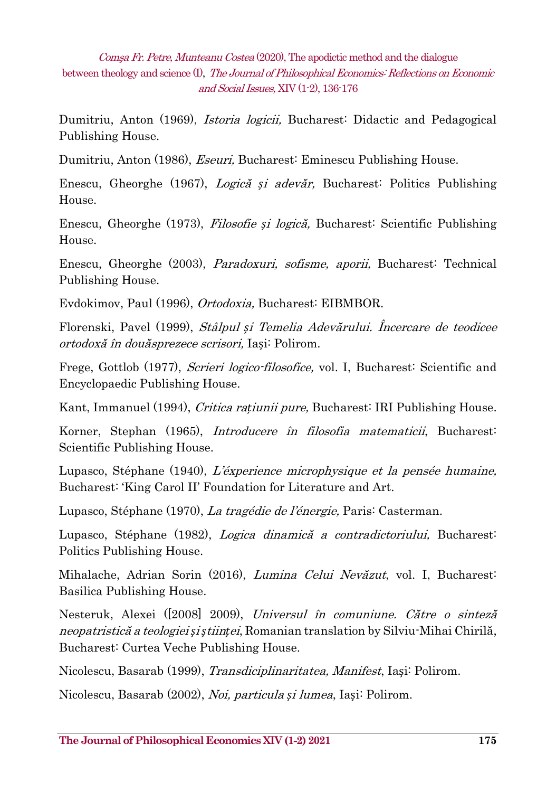Dumitriu, Anton (1969), *Istoria logicii*, Bucharest: Didactic and Pedagogical Publishing House.

Dumitriu, Anton (1986), Eseuri, Bucharest: Eminescu Publishing House.

Enescu, Gheorghe (1967), Logică *ș*i adevăr, Bucharest: Politics Publishing House.

Enescu, Gheorghe (1973), Filosofie *ș*i logică, Bucharest: Scientific Publishing House.

Enescu, Gheorghe (2003), Paradoxuri, sofisme, aporii, Bucharest: Technical Publishing House.

Evdokimov, Paul (1996), Ortodoxia, Bucharest: EIBMBOR.

Florenski, Pavel (1999), Stâlpul *ș*i Temelia Adevărului. Încercare de teodicee ortodoxă în douăsprezece scrisori, Iași: Polirom.

Frege, Gottlob (1977), *Scrieri logico-filosofice*, vol. I, Bucharest: Scientific and Encyclopaedic Publishing House.

Kant, Immanuel (1994), Critica ra*ț*iunii pure, Bucharest: IRI Publishing House.

Korner, Stephan (1965), *Introducere în filosofia matematicii*, Bucharest<sup>:</sup> Scientific Publishing House.

Lupasco, Stéphane (1940), L'éxperience microphysique et la pensée humaine, Bucharest: 'King Carol II' Foundation for Literature and Art.

Lupasco, Stéphane (1970), La tragédie de l'énergie, Paris: Casterman.

Lupasco, Stéphane (1982), Logica dinamică a contradictoriului, Bucharesti Politics Publishing House.

Mihalache, Adrian Sorin (2016), Lumina Celui Nevăzut, vol. I, Bucharest: Basilica Publishing House.

Nesteruk, Alexei ([2008] 2009), Universul în comuniune. Către o sinteză neopatristică a teologiei *ș*i *ș*tiin*ț*ei, Romanian translation by Silviu-Mihai Chirilă, Bucharest: Curtea Veche Publishing House.

Nicolescu, Basarab (1999), *Transdiciplinaritatea, Manifest*, Iași: Polirom.

Nicolescu, Basarab (2002), Noi, particula *ș*i lumea, Iași: Polirom.